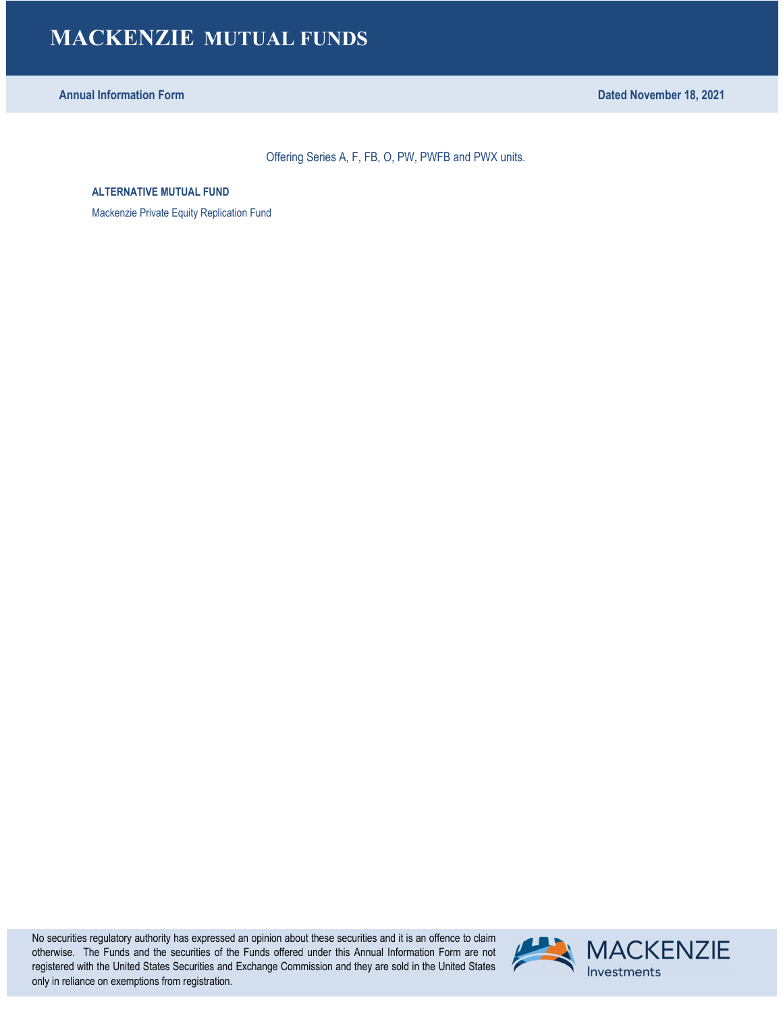**Annual Information Form Dated November 18, 2021**

Offering Series A, F, FB, O, PW, PWFB and PWX units.

**ALTERNATIVE MUTUAL FUND**

Mackenzie Private Equity Replication Fund

No securities regulatory authority has expressed an opinion about these securities and it is an offence to claim otherwise. The Funds and the securities of the Funds offered under this Annual Information Form are not registered with the United States Securities and Exchange Commission and they are sold in the United States only in reliance on exemptions from registration.

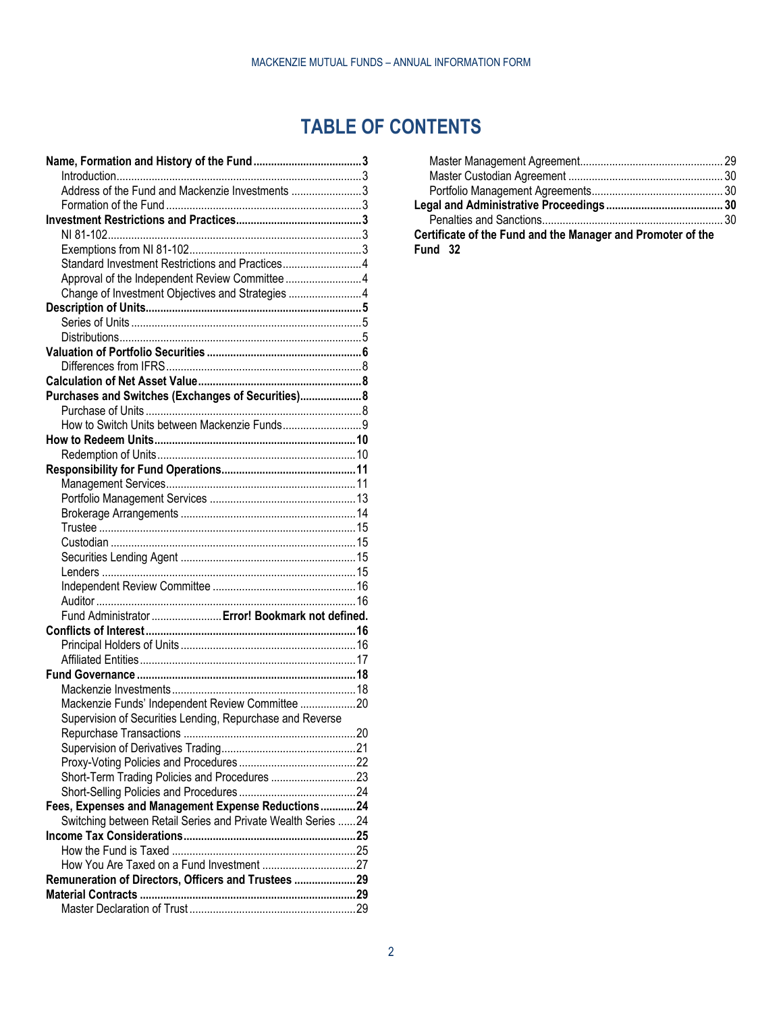# **TABLE OF CONTENTS**

| Address of the Fund and Mackenzie Investments 3                                                                    |  |
|--------------------------------------------------------------------------------------------------------------------|--|
|                                                                                                                    |  |
|                                                                                                                    |  |
|                                                                                                                    |  |
|                                                                                                                    |  |
| Standard Investment Restrictions and Practices4                                                                    |  |
|                                                                                                                    |  |
| Approval of the Independent Review Committee 4                                                                     |  |
| Change of Investment Objectives and Strategies 4                                                                   |  |
|                                                                                                                    |  |
|                                                                                                                    |  |
|                                                                                                                    |  |
|                                                                                                                    |  |
|                                                                                                                    |  |
|                                                                                                                    |  |
| Purchases and Switches (Exchanges of Securities) 8                                                                 |  |
|                                                                                                                    |  |
|                                                                                                                    |  |
|                                                                                                                    |  |
|                                                                                                                    |  |
|                                                                                                                    |  |
|                                                                                                                    |  |
|                                                                                                                    |  |
|                                                                                                                    |  |
|                                                                                                                    |  |
|                                                                                                                    |  |
|                                                                                                                    |  |
|                                                                                                                    |  |
|                                                                                                                    |  |
|                                                                                                                    |  |
| Fund Administrator  Error! Bookmark not defined.                                                                   |  |
|                                                                                                                    |  |
|                                                                                                                    |  |
|                                                                                                                    |  |
|                                                                                                                    |  |
| Mackenzie Funds' Independent Review Committee 20                                                                   |  |
|                                                                                                                    |  |
| Supervision of Securities Lending, Repurchase and Reverse                                                          |  |
|                                                                                                                    |  |
|                                                                                                                    |  |
|                                                                                                                    |  |
| Short-Term Trading Policies and Procedures 23                                                                      |  |
|                                                                                                                    |  |
| Fees, Expenses and Management Expense Reductions24<br>Switching between Retail Series and Private Wealth Series 24 |  |
|                                                                                                                    |  |
|                                                                                                                    |  |
|                                                                                                                    |  |
| Remuneration of Directors, Officers and Trustees 29                                                                |  |
|                                                                                                                    |  |
|                                                                                                                    |  |
|                                                                                                                    |  |

| Certificate of the Fund and the Manager and Promoter of the |  |
|-------------------------------------------------------------|--|
| Fund 32                                                     |  |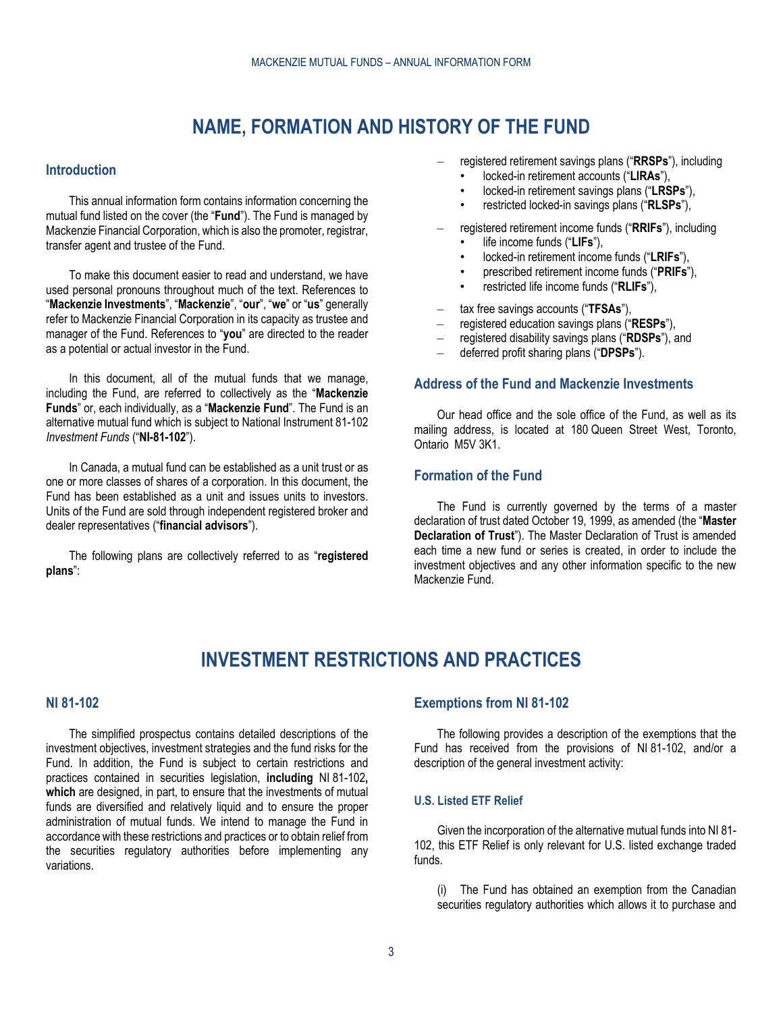# **NAME, FORMATION AND HISTORY OF THE FUND**

# <span id="page-2-1"></span><span id="page-2-0"></span>**Introduction**

This annual information form contains information concerning the mutual fund listed on the cover (the "**Fund**"). The Fund is managed by Mackenzie Financial Corporation, which is also the promoter, registrar, transfer agent and trustee of the Fund.

To make this document easier to read and understand, we have used personal pronouns throughout much of the text. References to "**Mackenzie Investments**", "**Mackenzie**", "**our**", "**we**" or "**us**" generally refer to Mackenzie Financial Corporation in its capacity as trustee and manager of the Fund. References to "**you**" are directed to the reader as a potential or actual investor in the Fund.

In this document, all of the mutual funds that we manage, including the Fund, are referred to collectively as the "**Mackenzie Funds**" or, each individually, as a "**Mackenzie Fund**". The Fund is an alternative mutual fund which is subject to National Instrument 81-102 *Investment Funds* ("**NI-81-102**").

In Canada, a mutual fund can be established as a unit trust or as one or more classes of shares of a corporation. In this document, the Fund has been established as a unit and issues units to investors. Units of the Fund are sold through independent registered broker and dealer representatives ("**financial advisors**").

The following plans are collectively referred to as "**registered plans**":

- registered retirement savings plans ("**RRSPs**"), including
	- locked-in retirement accounts ("**LIRAs**"),
	- locked-in retirement savings plans ("**LRSPs**"),
	- restricted locked-in savings plans ("**RLSPs**"),
- registered retirement income funds ("**RRIFs**"), including
	- life income funds ("**LIFs**"),
	- locked-in retirement income funds ("**LRIFs**"),
	- prescribed retirement income funds ("**PRIFs**"),
	- restricted life income funds ("**RLIFs**"),
- tax free savings accounts ("**TFSAs**"),
- registered education savings plans ("**RESPs**"),
- registered disability savings plans ("**RDSPs**"), and
- deferred profit sharing plans ("**DPSPs**").

# <span id="page-2-2"></span>**Address of the Fund and Mackenzie Investments**

Our head office and the sole office of the Fund, as well as its mailing address, is located at 180 Queen Street West, Toronto, Ontario M5V 3K1.

# <span id="page-2-3"></span>**Formation of the Fund**

The Fund is currently governed by the terms of a master declaration of trust dated October 19, 1999, as amended (the "**Master Declaration of Trust**"). The Master Declaration of Trust is amended each time a new fund or series is created, in order to include the investment objectives and any other information specific to the new Mackenzie Fund.

# **INVESTMENT RESTRICTIONS AND PRACTICES**

# <span id="page-2-5"></span><span id="page-2-4"></span>**NI 81-102**

The simplified prospectus contains detailed descriptions of the investment objectives, investment strategies and the fund risks for the Fund. In addition, the Fund is subject to certain restrictions and practices contained in securities legislation, **including** NI 81-102**, which** are designed, in part, to ensure that the investments of mutual funds are diversified and relatively liquid and to ensure the proper administration of mutual funds. We intend to manage the Fund in accordance with these restrictions and practices or to obtain relief from the securities regulatory authorities before implementing any variations.

# <span id="page-2-6"></span>**Exemptions from NI 81-102**

The following provides a description of the exemptions that the Fund has received from the provisions of NI 81-102, and/or a description of the general investment activity:

# **U.S. Listed ETF Relief**

Given the incorporation of the alternative mutual funds into NI 81- 102, this ETF Relief is only relevant for U.S. listed exchange traded funds.

(i) The Fund has obtained an exemption from the Canadian securities regulatory authorities which allows it to purchase and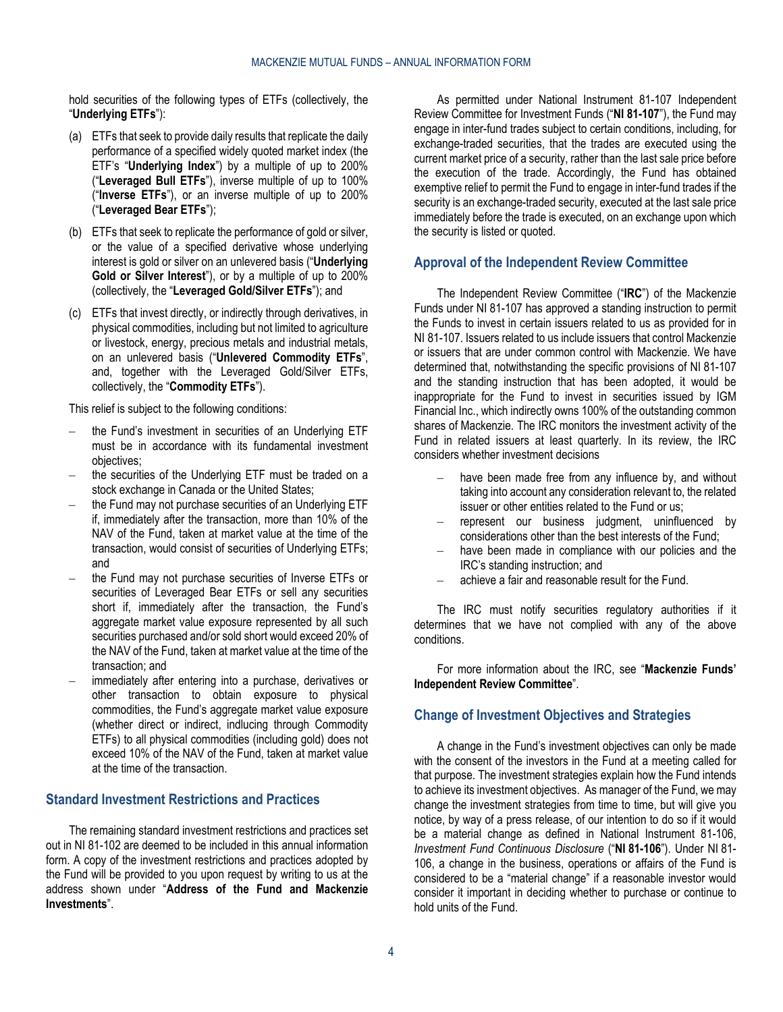hold securities of the following types of ETFs (collectively, the "**Underlying ETFs**"):

- (a) ETFs that seek to provide daily results that replicate the daily performance of a specified widely quoted market index (the ETF's "**Underlying Index**") by a multiple of up to 200% ("**Leveraged Bull ETFs**"), inverse multiple of up to 100% ("**Inverse ETFs**"), or an inverse multiple of up to 200% ("**Leveraged Bear ETFs**");
- (b) ETFs that seek to replicate the performance of gold or silver, or the value of a specified derivative whose underlying interest is gold or silver on an unlevered basis ("**Underlying Gold or Silver Interest**"), or by a multiple of up to 200% (collectively, the "**Leveraged Gold/Silver ETFs**"); and
- (c) ETFs that invest directly, or indirectly through derivatives, in physical commodities, including but not limited to agriculture or livestock, energy, precious metals and industrial metals, on an unlevered basis ("**Unlevered Commodity ETFs**", and, together with the Leveraged Gold/Silver ETFs, collectively, the "**Commodity ETFs**").

This relief is subject to the following conditions:

- the Fund's investment in securities of an Underlying ETF must be in accordance with its fundamental investment objectives;
- the securities of the Underlying ETF must be traded on a stock exchange in Canada or the United States;
- the Fund may not purchase securities of an Underlying ETF if, immediately after the transaction, more than 10% of the NAV of the Fund, taken at market value at the time of the transaction, would consist of securities of Underlying ETFs; and
- the Fund may not purchase securities of Inverse ETFs or securities of Leveraged Bear ETFs or sell any securities short if, immediately after the transaction, the Fund's aggregate market value exposure represented by all such securities purchased and/or sold short would exceed 20% of the NAV of the Fund, taken at market value at the time of the transaction; and
- immediately after entering into a purchase, derivatives or other transaction to obtain exposure to physical commodities, the Fund's aggregate market value exposure (whether direct or indirect, indlucing through Commodity ETFs) to all physical commodities (including gold) does not exceed 10% of the NAV of the Fund, taken at market value at the time of the transaction.

# <span id="page-3-0"></span>**Standard Investment Restrictions and Practices**

The remaining standard investment restrictions and practices set out in NI 81-102 are deemed to be included in this annual information form. A copy of the investment restrictions and practices adopted by the Fund will be provided to you upon request by writing to us at the address shown under "**[Address of the Fund and Mackenzie](#page-2-2)  [Investments](#page-2-2)**".

As permitted under National Instrument 81-107 Independent Review Committee for Investment Funds ("**NI 81-107**"), the Fund may engage in inter-fund trades subject to certain conditions, including, for exchange-traded securities, that the trades are executed using the current market price of a security, rather than the last sale price before the execution of the trade. Accordingly, the Fund has obtained exemptive relief to permit the Fund to engage in inter-fund trades if the security is an exchange-traded security, executed at the last sale price immediately before the trade is executed, on an exchange upon which the security is listed or quoted.

# <span id="page-3-1"></span>**Approval of the Independent Review Committee**

The Independent Review Committee ("**IRC**") of the Mackenzie Funds under NI 81-107 has approved a standing instruction to permit the Funds to invest in certain issuers related to us as provided for in NI 81-107. Issuers related to us include issuers that control Mackenzie or issuers that are under common control with Mackenzie. We have determined that, notwithstanding the specific provisions of NI 81-107 and the standing instruction that has been adopted, it would be inappropriate for the Fund to invest in securities issued by IGM Financial Inc., which indirectly owns 100% of the outstanding common shares of Mackenzie. The IRC monitors the investment activity of the Fund in related issuers at least quarterly. In its review, the IRC considers whether investment decisions

- have been made free from any influence by, and without taking into account any consideration relevant to, the related issuer or other entities related to the Fund or us;
- represent our business judgment, uninfluenced by considerations other than the best interests of the Fund;
- have been made in compliance with our policies and the IRC's standing instruction; and
- achieve a fair and reasonable result for the Fund.

The IRC must notify securities regulatory authorities if it determines that we have not complied with any of the above conditions.

For more information about the IRC, see "**[Mackenzie Funds'](#page-19-0)  [Independent Review Committee](#page-19-0)**".

#### <span id="page-3-2"></span>**Change of Investment Objectives and Strategies**

A change in the Fund's investment objectives can only be made with the consent of the investors in the Fund at a meeting called for that purpose. The investment strategies explain how the Fund intends to achieve its investment objectives. As manager of the Fund, we may change the investment strategies from time to time, but will give you notice, by way of a press release, of our intention to do so if it would be a material change as defined in National Instrument 81-106, *Investment Fund Continuous Disclosure* ("**NI 81-106**"). Under NI 81- 106, a change in the business, operations or affairs of the Fund is considered to be a "material change" if a reasonable investor would consider it important in deciding whether to purchase or continue to hold units of the Fund.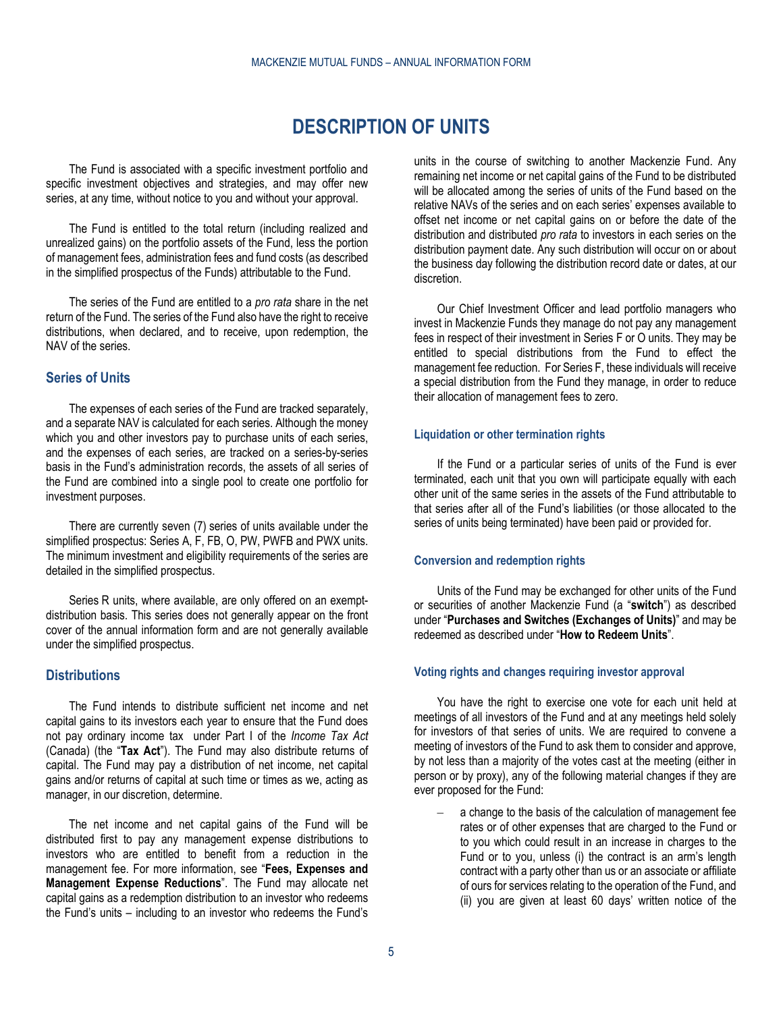# **DESCRIPTION OF UNITS**

<span id="page-4-0"></span>The Fund is associated with a specific investment portfolio and specific investment objectives and strategies, and may offer new series, at any time, without notice to you and without your approval.

The Fund is entitled to the total return (including realized and unrealized gains) on the portfolio assets of the Fund, less the portion of management fees, administration fees and fund costs (as described in the simplified prospectus of the Funds) attributable to the Fund.

The series of the Fund are entitled to a *pro rata* share in the net return of the Fund. The series of the Fund also have the right to receive distributions, when declared, and to receive, upon redemption, the NAV of the series.

# <span id="page-4-1"></span>**Series of Units**

The expenses of each series of the Fund are tracked separately, and a separate NAV is calculated for each series. Although the money which you and other investors pay to purchase units of each series, and the expenses of each series, are tracked on a series-by-series basis in the Fund's administration records, the assets of all series of the Fund are combined into a single pool to create one portfolio for investment purposes.

There are currently seven (7) series of units available under the simplified prospectus: Series A, F, FB, O, PW, PWFB and PWX units. The minimum investment and eligibility requirements of the series are detailed in the simplified prospectus.

Series R units, where available, are only offered on an exemptdistribution basis. This series does not generally appear on the front cover of the annual information form and are not generally available under the simplified prospectus.

# <span id="page-4-2"></span>**Distributions**

The Fund intends to distribute sufficient net income and net capital gains to its investors each year to ensure that the Fund does not pay ordinary income tax under Part I of the *Income Tax Act* (Canada) (the "**Tax Act**"). The Fund may also distribute returns of capital. The Fund may pay a distribution of net income, net capital gains and/or returns of capital at such time or times as we, acting as manager, in our discretion, determine.

The net income and net capital gains of the Fund will be distributed first to pay any management expense distributions to investors who are entitled to benefit from a reduction in the management fee. For more information, see "**[Fees, Expenses and](#page-23-1)  [Management Expense Reductions](#page-23-1)**". The Fund may allocate net capital gains as a redemption distribution to an investor who redeems the Fund's units – including to an investor who redeems the Fund's

units in the course of switching to another Mackenzie Fund. Any remaining net income or net capital gains of the Fund to be distributed will be allocated among the series of units of the Fund based on the relative NAVs of the series and on each series' expenses available to offset net income or net capital gains on or before the date of the distribution and distributed *pro rata* to investors in each series on the distribution payment date. Any such distribution will occur on or about the business day following the distribution record date or dates, at our discretion.

Our Chief Investment Officer and lead portfolio managers who invest in Mackenzie Funds they manage do not pay any management fees in respect of their investment in Series F or O units. They may be entitled to special distributions from the Fund to effect the management fee reduction. For Series F, these individuals will receive a special distribution from the Fund they manage, in order to reduce their allocation of management fees to zero.

#### **Liquidation or other termination rights**

If the Fund or a particular series of units of the Fund is ever terminated, each unit that you own will participate equally with each other unit of the same series in the assets of the Fund attributable to that series after all of the Fund's liabilities (or those allocated to the series of units being terminated) have been paid or provided for.

#### **Conversion and redemption rights**

Units of the Fund may be exchanged for other units of the Fund or securities of another Mackenzie Fund (a "**switch**") as described under "**[Purchases and Switches \(Exchanges of Units\)](#page-7-2)**" and may be redeemed as described under "**How to Redeem Units**".

#### <span id="page-4-3"></span>**Voting rights and changes requiring investor approval**

You have the right to exercise one vote for each unit held at meetings of all investors of the Fund and at any meetings held solely for investors of that series of units. We are required to convene a meeting of investors of the Fund to ask them to consider and approve, by not less than a majority of the votes cast at the meeting (either in person or by proxy), any of the following material changes if they are ever proposed for the Fund:

– a change to the basis of the calculation of management fee rates or of other expenses that are charged to the Fund or to you which could result in an increase in charges to the Fund or to you, unless (i) the contract is an arm's length contract with a party other than us or an associate or affiliate of ours for services relating to the operation of the Fund, and (ii) you are given at least 60 days' written notice of the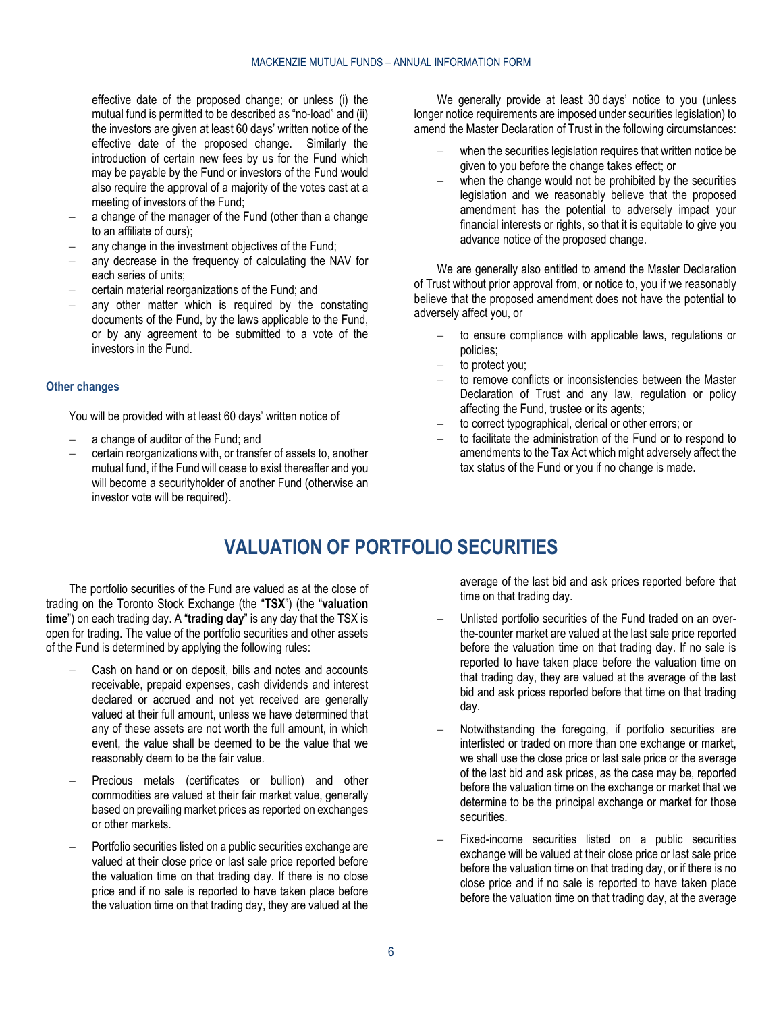effective date of the proposed change; or unless (i) the mutual fund is permitted to be described as "no-load" and (ii) the investors are given at least 60 days' written notice of the effective date of the proposed change. Similarly the introduction of certain new fees by us for the Fund which may be payable by the Fund or investors of the Fund would also require the approval of a majority of the votes cast at a meeting of investors of the Fund;

- a change of the manager of the Fund (other than a change to an affiliate of ours);
- any change in the investment objectives of the Fund;
- any decrease in the frequency of calculating the NAV for each series of units;
- certain material reorganizations of the Fund; and
- any other matter which is required by the constating documents of the Fund, by the laws applicable to the Fund, or by any agreement to be submitted to a vote of the investors in the Fund.

#### **Other changes**

You will be provided with at least 60 days' written notice of

- a change of auditor of the Fund; and
- <span id="page-5-0"></span>– certain reorganizations with, or transfer of assets to, another mutual fund, if the Fund will cease to exist thereafter and you will become a securityholder of another Fund (otherwise an investor vote will be required).

We generally provide at least 30 days' notice to you (unless longer notice requirements are imposed under securities legislation) to amend the Master Declaration of Trust in the following circumstances:

- when the securities legislation requires that written notice be given to you before the change takes effect; or
- when the change would not be prohibited by the securities legislation and we reasonably believe that the proposed amendment has the potential to adversely impact your financial interests or rights, so that it is equitable to give you advance notice of the proposed change.

We are generally also entitled to amend the Master Declaration of Trust without prior approval from, or notice to, you if we reasonably believe that the proposed amendment does not have the potential to adversely affect you, or

- to ensure compliance with applicable laws, regulations or policies;
- to protect you;
- to remove conflicts or inconsistencies between the Master Declaration of Trust and any law, regulation or policy affecting the Fund, trustee or its agents;
- to correct typographical, clerical or other errors; or
- to facilitate the administration of the Fund or to respond to amendments to the Tax Act which might adversely affect the tax status of the Fund or you if no change is made.

# **VALUATION OF PORTFOLIO SECURITIES**

The portfolio securities of the Fund are valued as at the close of trading on the Toronto Stock Exchange (the "**TSX**") (the "**valuation time**") on each trading day. A "**trading day**" is any day that the TSX is open for trading. The value of the portfolio securities and other assets of the Fund is determined by applying the following rules:

- Cash on hand or on deposit, bills and notes and accounts receivable, prepaid expenses, cash dividends and interest declared or accrued and not yet received are generally valued at their full amount, unless we have determined that any of these assets are not worth the full amount, in which event, the value shall be deemed to be the value that we reasonably deem to be the fair value.
- Precious metals (certificates or bullion) and other commodities are valued at their fair market value, generally based on prevailing market prices as reported on exchanges or other markets.
- Portfolio securities listed on a public securities exchange are valued at their close price or last sale price reported before the valuation time on that trading day. If there is no close price and if no sale is reported to have taken place before the valuation time on that trading day, they are valued at the

average of the last bid and ask prices reported before that time on that trading day.

- Unlisted portfolio securities of the Fund traded on an overthe-counter market are valued at the last sale price reported before the valuation time on that trading day. If no sale is reported to have taken place before the valuation time on that trading day, they are valued at the average of the last bid and ask prices reported before that time on that trading day.
- Notwithstanding the foregoing, if portfolio securities are interlisted or traded on more than one exchange or market, we shall use the close price or last sale price or the average of the last bid and ask prices, as the case may be, reported before the valuation time on the exchange or market that we determine to be the principal exchange or market for those securities.
- Fixed-income securities listed on a public securities exchange will be valued at their close price or last sale price before the valuation time on that trading day, or if there is no close price and if no sale is reported to have taken place before the valuation time on that trading day, at the average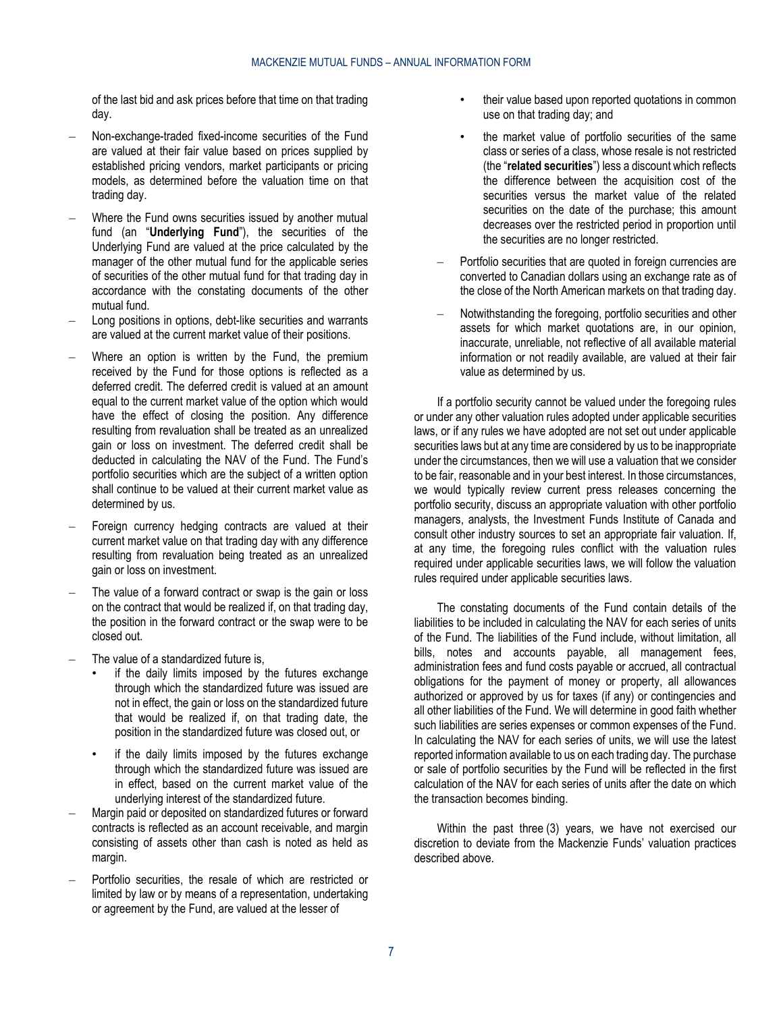of the last bid and ask prices before that time on that trading day.

- Non-exchange-traded fixed-income securities of the Fund are valued at their fair value based on prices supplied by established pricing vendors, market participants or pricing models, as determined before the valuation time on that trading day.
- Where the Fund owns securities issued by another mutual fund (an "**Underlying Fund**"), the securities of the Underlying Fund are valued at the price calculated by the manager of the other mutual fund for the applicable series of securities of the other mutual fund for that trading day in accordance with the constating documents of the other mutual fund.
- Long positions in options, debt-like securities and warrants are valued at the current market value of their positions.
- Where an option is written by the Fund, the premium received by the Fund for those options is reflected as a deferred credit. The deferred credit is valued at an amount equal to the current market value of the option which would have the effect of closing the position. Any difference resulting from revaluation shall be treated as an unrealized gain or loss on investment. The deferred credit shall be deducted in calculating the NAV of the Fund. The Fund's portfolio securities which are the subject of a written option shall continue to be valued at their current market value as determined by us.
- Foreign currency hedging contracts are valued at their current market value on that trading day with any difference resulting from revaluation being treated as an unrealized gain or loss on investment.
- The value of a forward contract or swap is the gain or loss on the contract that would be realized if, on that trading day, the position in the forward contract or the swap were to be closed out.
- The value of a standardized future is,
	- if the daily limits imposed by the futures exchange through which the standardized future was issued are not in effect, the gain or loss on the standardized future that would be realized if, on that trading date, the position in the standardized future was closed out, or
	- if the daily limits imposed by the futures exchange through which the standardized future was issued are in effect, based on the current market value of the underlying interest of the standardized future.
- Margin paid or deposited on standardized futures or forward contracts is reflected as an account receivable, and margin consisting of assets other than cash is noted as held as margin.
- Portfolio securities, the resale of which are restricted or limited by law or by means of a representation, undertaking or agreement by the Fund, are valued at the lesser of
- their value based upon reported quotations in common use on that trading day; and
- the market value of portfolio securities of the same class or series of a class, whose resale is not restricted (the "**related securities**") less a discount which reflects the difference between the acquisition cost of the securities versus the market value of the related securities on the date of the purchase; this amount decreases over the restricted period in proportion until the securities are no longer restricted.
- Portfolio securities that are quoted in foreign currencies are converted to Canadian dollars using an exchange rate as of the close of the North American markets on that trading day.
- Notwithstanding the foregoing, portfolio securities and other assets for which market quotations are, in our opinion, inaccurate, unreliable, not reflective of all available material information or not readily available, are valued at their fair value as determined by us.

If a portfolio security cannot be valued under the foregoing rules or under any other valuation rules adopted under applicable securities laws, or if any rules we have adopted are not set out under applicable securities laws but at any time are considered by us to be inappropriate under the circumstances, then we will use a valuation that we consider to be fair, reasonable and in your best interest. In those circumstances, we would typically review current press releases concerning the portfolio security, discuss an appropriate valuation with other portfolio managers, analysts, the Investment Funds Institute of Canada and consult other industry sources to set an appropriate fair valuation. If, at any time, the foregoing rules conflict with the valuation rules required under applicable securities laws, we will follow the valuation rules required under applicable securities laws.

The constating documents of the Fund contain details of the liabilities to be included in calculating the NAV for each series of units of the Fund. The liabilities of the Fund include, without limitation, all bills, notes and accounts payable, all management fees, administration fees and fund costs payable or accrued, all contractual obligations for the payment of money or property, all allowances authorized or approved by us for taxes (if any) or contingencies and all other liabilities of the Fund. We will determine in good faith whether such liabilities are series expenses or common expenses of the Fund. In calculating the NAV for each series of units, we will use the latest reported information available to us on each trading day. The purchase or sale of portfolio securities by the Fund will be reflected in the first calculation of the NAV for each series of units after the date on which the transaction becomes binding.

Within the past three (3) years, we have not exercised our discretion to deviate from the Mackenzie Funds' valuation practices described above.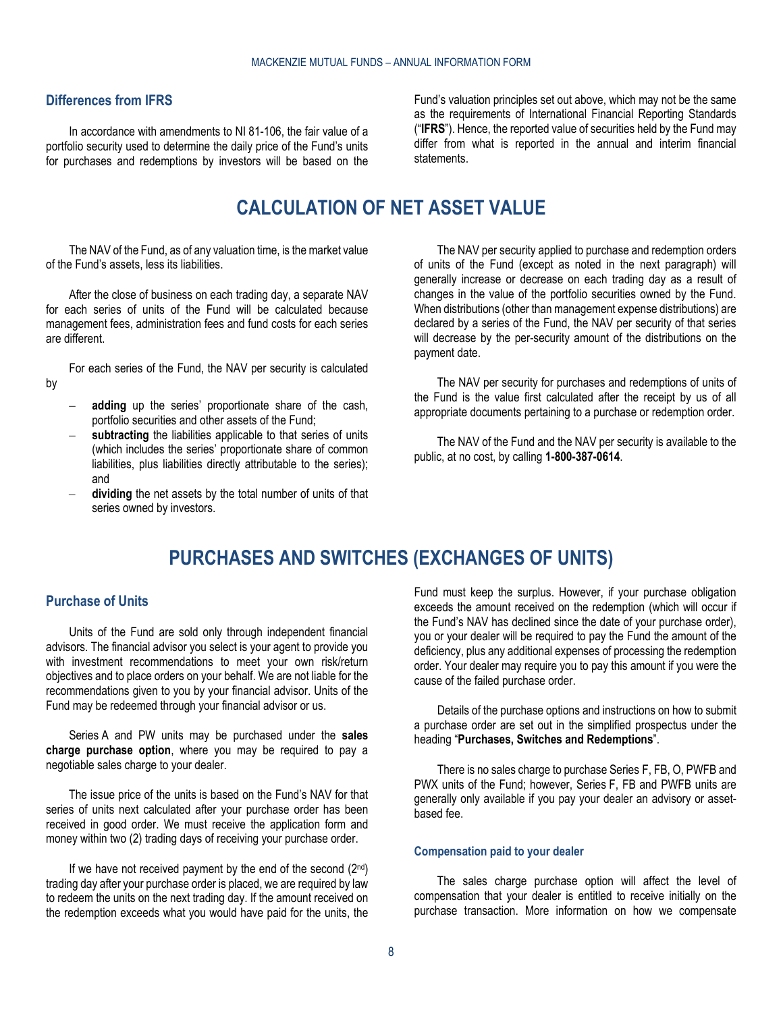# <span id="page-7-0"></span>**Differences from IFRS**

<span id="page-7-1"></span>In accordance with amendments to NI 81-106, the fair value of a portfolio security used to determine the daily price of the Fund's units for purchases and redemptions by investors will be based on the

Fund's valuation principles set out above, which may not be the same as the requirements of International Financial Reporting Standards ("**IFRS**"). Hence, the reported value of securities held by the Fund may differ from what is reported in the annual and interim financial statements.

# **CALCULATION OF NET ASSET VALUE**

The NAV of the Fund, as of any valuation time, is the market value of the Fund's assets, less its liabilities.

After the close of business on each trading day, a separate NAV for each series of units of the Fund will be calculated because management fees, administration fees and fund costs for each series are different.

For each series of the Fund, the NAV per security is calculated

- **adding** up the series' proportionate share of the cash, portfolio securities and other assets of the Fund;
- subtracting the liabilities applicable to that series of units (which includes the series' proportionate share of common liabilities, plus liabilities directly attributable to the series); and
- <span id="page-7-2"></span>dividing the net assets by the total number of units of that series owned by investors.

The NAV per security applied to purchase and redemption orders of units of the Fund (except as noted in the next paragraph) will generally increase or decrease on each trading day as a result of changes in the value of the portfolio securities owned by the Fund. When distributions (other than management expense distributions) are declared by a series of the Fund, the NAV per security of that series will decrease by the per-security amount of the distributions on the payment date.

The NAV per security for purchases and redemptions of units of the Fund is the value first calculated after the receipt by us of all appropriate documents pertaining to a purchase or redemption order.

The NAV of the Fund and the NAV per security is available to the public, at no cost, by calling **1-800-387-0614**.

# **PURCHASES AND SWITCHES (EXCHANGES OF UNITS)**

#### <span id="page-7-3"></span>**Purchase of Units**

by

Units of the Fund are sold only through independent financial advisors. The financial advisor you select is your agent to provide you with investment recommendations to meet your own risk/return objectives and to place orders on your behalf. We are not liable for the recommendations given to you by your financial advisor. Units of the Fund may be redeemed through your financial advisor or us.

Series A and PW units may be purchased under the **sales charge purchase option**, where you may be required to pay a negotiable sales charge to your dealer.

The issue price of the units is based on the Fund's NAV for that series of units next calculated after your purchase order has been received in good order. We must receive the application form and money within two (2) trading days of receiving your purchase order.

If we have not received payment by the end of the second  $(2^{nd})$ trading day after your purchase order is placed, we are required by law to redeem the units on the next trading day. If the amount received on the redemption exceeds what you would have paid for the units, the Fund must keep the surplus. However, if your purchase obligation exceeds the amount received on the redemption (which will occur if the Fund's NAV has declined since the date of your purchase order), you or your dealer will be required to pay the Fund the amount of the deficiency, plus any additional expenses of processing the redemption order. Your dealer may require you to pay this amount if you were the cause of the failed purchase order.

Details of the purchase options and instructions on how to submit a purchase order are set out in the simplified prospectus under the heading "**Purchases, Switches and Redemptions**".

There is no sales charge to purchase Series F, FB, O, PWFB and PWX units of the Fund; however, Series F, FB and PWFB units are generally only available if you pay your dealer an advisory or assetbased fee.

#### **Compensation paid to your dealer**

The sales charge purchase option will affect the level of compensation that your dealer is entitled to receive initially on the purchase transaction. More information on how we compensate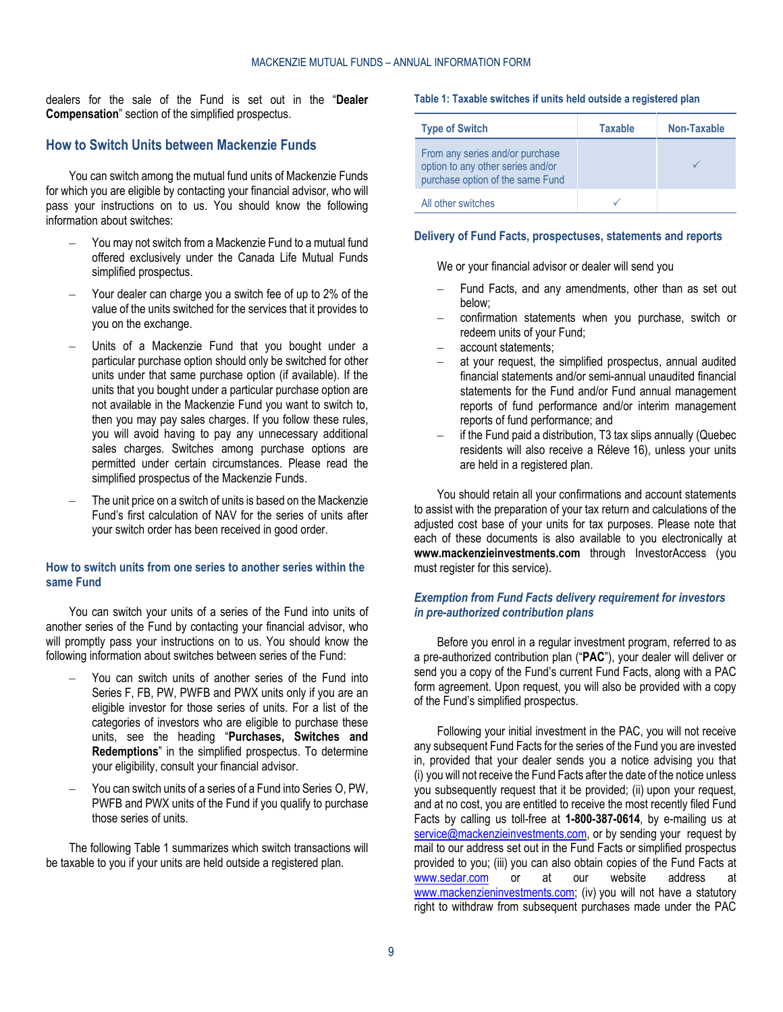dealers for the sale of the Fund is set out in the "**Dealer Compensation**" section of the simplified prospectus.

# <span id="page-8-0"></span>**How to Switch Units between Mackenzie Funds**

You can switch among the mutual fund units of Mackenzie Funds for which you are eligible by contacting your financial advisor, who will pass your instructions on to us. You should know the following information about switches:

- You may not switch from a Mackenzie Fund to a mutual fund offered exclusively under the Canada Life Mutual Funds simplified prospectus.
- Your dealer can charge you a switch fee of up to 2% of the value of the units switched for the services that it provides to you on the exchange.
- Units of a Mackenzie Fund that you bought under a particular purchase option should only be switched for other units under that same purchase option (if available). If the units that you bought under a particular purchase option are not available in the Mackenzie Fund you want to switch to, then you may pay sales charges. If you follow these rules, you will avoid having to pay any unnecessary additional sales charges. Switches among purchase options are permitted under certain circumstances. Please read the simplified prospectus of the Mackenzie Funds.
- The unit price on a switch of units is based on the Mackenzie Fund's first calculation of NAV for the series of units after your switch order has been received in good order.

#### **How to switch units from one series to another series within the same Fund**

You can switch your units of a series of the Fund into units of another series of the Fund by contacting your financial advisor, who will promptly pass your instructions on to us. You should know the following information about switches between series of the Fund:

- You can switch units of another series of the Fund into Series F, FB, PW, PWFB and PWX units only if you are an eligible investor for those series of units. For a list of the categories of investors who are eligible to purchase these units, see the heading "**Purchases, Switches and Redemptions**" in the simplified prospectus. To determine your eligibility, consult your financial advisor.
- You can switch units of a series of a Fund into Series O, PW, PWFB and PWX units of the Fund if you qualify to purchase those series of units.

The following [Table](#page-8-1) 1 summarizes which switch transactions will be taxable to you if your units are held outside a registered plan.

#### <span id="page-8-1"></span>**Table 1: Taxable switches if units held outside a registered plan**

| <b>Type of Switch</b>                                                                                    | <b>Taxable</b> | Non-Taxable |
|----------------------------------------------------------------------------------------------------------|----------------|-------------|
| From any series and/or purchase<br>option to any other series and/or<br>purchase option of the same Fund |                |             |
| All other switches                                                                                       |                |             |

#### **Delivery of Fund Facts, prospectuses, statements and reports**

We or your financial advisor or dealer will send you

- Fund Facts, and any amendments, other than as set out below;
- confirmation statements when you purchase, switch or redeem units of your Fund;
- account statements;
- at your request, the simplified prospectus, annual audited financial statements and/or semi-annual unaudited financial statements for the Fund and/or Fund annual management reports of fund performance and/or interim management reports of fund performance; and
- if the Fund paid a distribution, T3 tax slips annually (Quebec residents will also receive a Réleve 16), unless your units are held in a registered plan.

You should retain all your confirmations and account statements to assist with the preparation of your tax return and calculations of the adjusted cost base of your units for tax purposes. Please note that each of these documents is also available to you electronically at **[www.mackenzieinvestments.com](http://www.mackenzieinvestments.com/)** through InvestorAccess (you must register for this service).

# *Exemption from Fund Facts delivery requirement for investors in pre-authorized contribution plans*

Before you enrol in a regular investment program, referred to as a pre-authorized contribution plan ("**PAC**"), your dealer will deliver or send you a copy of the Fund's current Fund Facts, along with a PAC form agreement. Upon request, you will also be provided with a copy of the Fund's simplified prospectus.

Following your initial investment in the PAC, you will not receive any subsequent Fund Facts for the series of the Fund you are invested in, provided that your dealer sends you a notice advising you that (i) you will not receive the Fund Facts after the date of the notice unless you subsequently request that it be provided; (ii) upon your request, and at no cost, you are entitled to receive the most recently filed Fund Facts by calling us toll-free at **1-800-387-0614**, by e-mailing us at [service@mackenzieinvestments.com,](mailto:service@mackenzieinvestments.com) or by sending your request by mail to our address set out in the Fund Facts or simplified prospectus provided to you; (iii) you can also obtain copies of the Fund Facts at<br>www.sedar.com or at our website address at [www.sedar.com](http://www.sedar.com/) or at our website address at [www.mackenzieninvestments.com;](http://www.mackenzieninvestments.com/) (iv) you will not have a statutory right to withdraw from subsequent purchases made under the PAC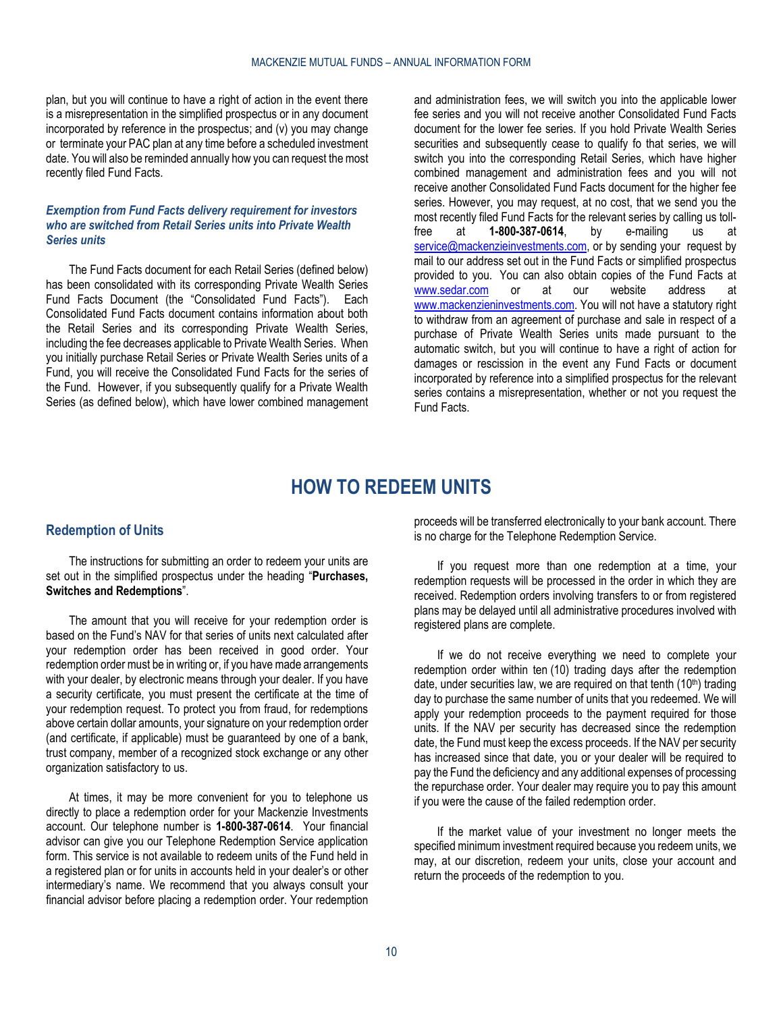plan, but you will continue to have a right of action in the event there is a misrepresentation in the simplified prospectus or in any document incorporated by reference in the prospectus; and (v) you may change or terminate your PAC plan at any time before a scheduled investment date. You will also be reminded annually how you can request the most recently filed Fund Facts.

# *Exemption from Fund Facts delivery requirement for investors who are switched from Retail Series units into Private Wealth Series units*

The Fund Facts document for each Retail Series (defined below) has been consolidated with its corresponding Private Wealth Series Fund Facts Document (the "Consolidated Fund Facts"). Each Consolidated Fund Facts document contains information about both the Retail Series and its corresponding Private Wealth Series, including the fee decreases applicable to Private Wealth Series. When you initially purchase Retail Series or Private Wealth Series units of a Fund, you will receive the Consolidated Fund Facts for the series of the Fund. However, if you subsequently qualify for a Private Wealth Series (as defined below), which have lower combined management

and administration fees, we will switch you into the applicable lower fee series and you will not receive another Consolidated Fund Facts document for the lower fee series. If you hold Private Wealth Series securities and subsequently cease to qualify fo that series, we will switch you into the corresponding Retail Series, which have higher combined management and administration fees and you will not receive another Consolidated Fund Facts document for the higher fee series. However, you may request, at no cost, that we send you the most recently filed Fund Facts for the relevant series by calling us tollfree at **1-800-387-0614**, by e-mailing us at [service@mackenzieinvestments.com,](mailto:service@mackenzieinvestments.com) or by sending your request by mail to our address set out in the Fund Facts or simplified prospectus provided to you. You can also obtain copies of the Fund Facts at<br>www.sedar.com or at our website address at [www.sedar.com](http://www.sedar.com/) or at our website address at [www.mackenzieninvestments.com.](http://www.mackenzieninvestments.com/) You will not have a statutory right to withdraw from an agreement of purchase and sale in respect of a purchase of Private Wealth Series units made pursuant to the automatic switch, but you will continue to have a right of action for damages or rescission in the event any Fund Facts or document incorporated by reference into a simplified prospectus for the relevant series contains a misrepresentation, whether or not you request the Fund Facts.

# **HOW TO REDEEM UNITS**

### <span id="page-9-1"></span><span id="page-9-0"></span>**Redemption of Units**

The instructions for submitting an order to redeem your units are set out in the simplified prospectus under the heading "**Purchases, Switches and Redemptions**".

The amount that you will receive for your redemption order is based on the Fund's NAV for that series of units next calculated after your redemption order has been received in good order. Your redemption order must be in writing or, if you have made arrangements with your dealer, by electronic means through your dealer. If you have a security certificate, you must present the certificate at the time of your redemption request. To protect you from fraud, for redemptions above certain dollar amounts, your signature on your redemption order (and certificate, if applicable) must be guaranteed by one of a bank, trust company, member of a recognized stock exchange or any other organization satisfactory to us.

At times, it may be more convenient for you to telephone us directly to place a redemption order for your Mackenzie Investments account. Our telephone number is **1-800-387-0614**. Your financial advisor can give you our Telephone Redemption Service application form. This service is not available to redeem units of the Fund held in a registered plan or for units in accounts held in your dealer's or other intermediary's name. We recommend that you always consult your financial advisor before placing a redemption order. Your redemption proceeds will be transferred electronically to your bank account. There is no charge for the Telephone Redemption Service.

If you request more than one redemption at a time, your redemption requests will be processed in the order in which they are received. Redemption orders involving transfers to or from registered plans may be delayed until all administrative procedures involved with registered plans are complete.

If we do not receive everything we need to complete your redemption order within ten (10) trading days after the redemption date, under securities law, we are required on that tenth (10<sup>th</sup>) trading day to purchase the same number of units that you redeemed. We will apply your redemption proceeds to the payment required for those units. If the NAV per security has decreased since the redemption date, the Fund must keep the excess proceeds. If the NAV per security has increased since that date, you or your dealer will be required to pay the Fund the deficiency and any additional expenses of processing the repurchase order. Your dealer may require you to pay this amount if you were the cause of the failed redemption order.

If the market value of your investment no longer meets the specified minimum investment required because you redeem units, we may, at our discretion, redeem your units, close your account and return the proceeds of the redemption to you.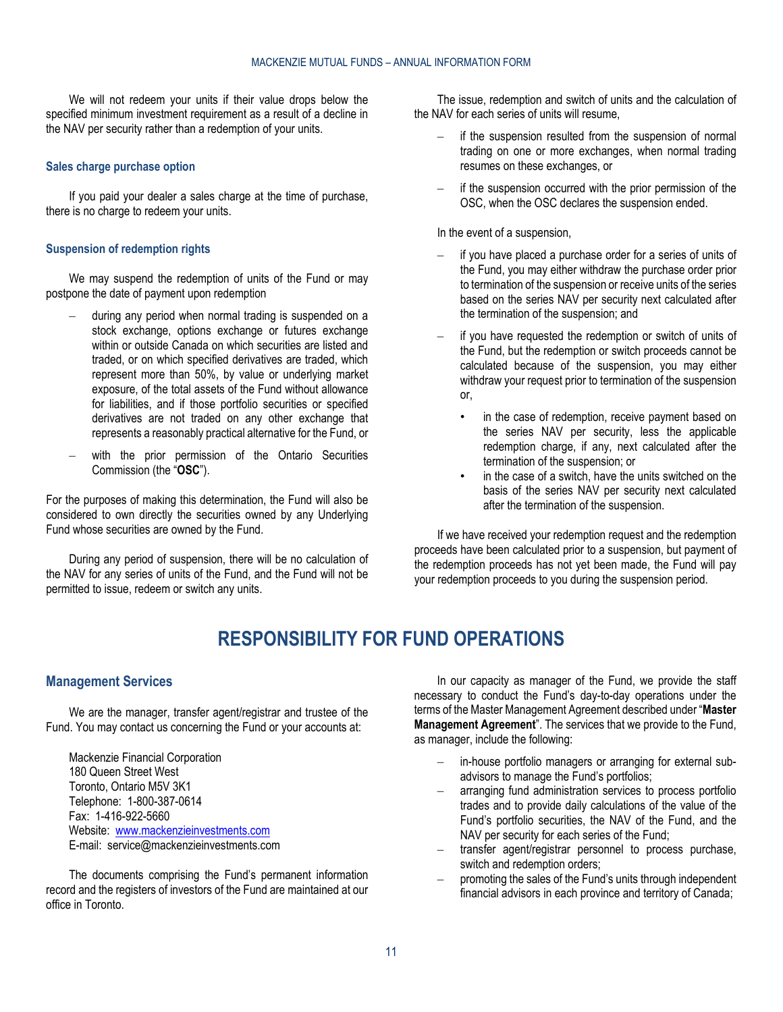We will not redeem your units if their value drops below the specified minimum investment requirement as a result of a decline in the NAV per security rather than a redemption of your units.

#### **Sales charge purchase option**

If you paid your dealer a sales charge at the time of purchase, there is no charge to redeem your units.

#### **Suspension of redemption rights**

We may suspend the redemption of units of the Fund or may postpone the date of payment upon redemption

- during any period when normal trading is suspended on a stock exchange, options exchange or futures exchange within or outside Canada on which securities are listed and traded, or on which specified derivatives are traded, which represent more than 50%, by value or underlying market exposure, of the total assets of the Fund without allowance for liabilities, and if those portfolio securities or specified derivatives are not traded on any other exchange that represents a reasonably practical alternative for the Fund, or
- with the prior permission of the Ontario Securities Commission (the "**OSC**").

For the purposes of making this determination, the Fund will also be considered to own directly the securities owned by any Underlying Fund whose securities are owned by the Fund.

<span id="page-10-0"></span>During any period of suspension, there will be no calculation of the NAV for any series of units of the Fund, and the Fund will not be permitted to issue, redeem or switch any units.

The issue, redemption and switch of units and the calculation of the NAV for each series of units will resume,

- if the suspension resulted from the suspension of normal trading on one or more exchanges, when normal trading resumes on these exchanges, or
- if the suspension occurred with the prior permission of the OSC, when the OSC declares the suspension ended.

#### In the event of a suspension,

- if you have placed a purchase order for a series of units of the Fund, you may either withdraw the purchase order prior to termination of the suspension or receive units of the series based on the series NAV per security next calculated after the termination of the suspension; and
- if you have requested the redemption or switch of units of the Fund, but the redemption or switch proceeds cannot be calculated because of the suspension, you may either withdraw your request prior to termination of the suspension or,
	- in the case of redemption, receive payment based on the series NAV per security, less the applicable redemption charge, if any, next calculated after the termination of the suspension; or
	- in the case of a switch, have the units switched on the basis of the series NAV per security next calculated after the termination of the suspension.

If we have received your redemption request and the redemption proceeds have been calculated prior to a suspension, but payment of the redemption proceeds has not yet been made, the Fund will pay your redemption proceeds to you during the suspension period.

# **RESPONSIBILITY FOR FUND OPERATIONS**

### <span id="page-10-1"></span>**Management Services**

We are the manager, transfer agent/registrar and trustee of the Fund. You may contact us concerning the Fund or your accounts at:

Mackenzie Financial Corporation 180 Queen Street West Toronto, Ontario M5V 3K1 Telephone: 1-800-387-0614 Fax: 1-416-922-5660 Website: [www.mackenzieinvestments.com](http://www.mackenzieinvestments.com/) E-mail: service@mackenzieinvestments.com

The documents comprising the Fund's permanent information record and the registers of investors of the Fund are maintained at our office in Toronto.

In our capacity as manager of the Fund, we provide the staff necessary to conduct the Fund's day-to-day operations under the terms of the Master Management Agreement described under "**[Master](#page-28-3)  [Management Agreement](#page-28-3)**". The services that we provide to the Fund, as manager, include the following:

- in-house portfolio managers or arranging for external subadvisors to manage the Fund's portfolios;
- arranging fund administration services to process portfolio trades and to provide daily calculations of the value of the Fund's portfolio securities, the NAV of the Fund, and the NAV per security for each series of the Fund;
- transfer agent/registrar personnel to process purchase, switch and redemption orders;
- promoting the sales of the Fund's units through independent financial advisors in each province and territory of Canada;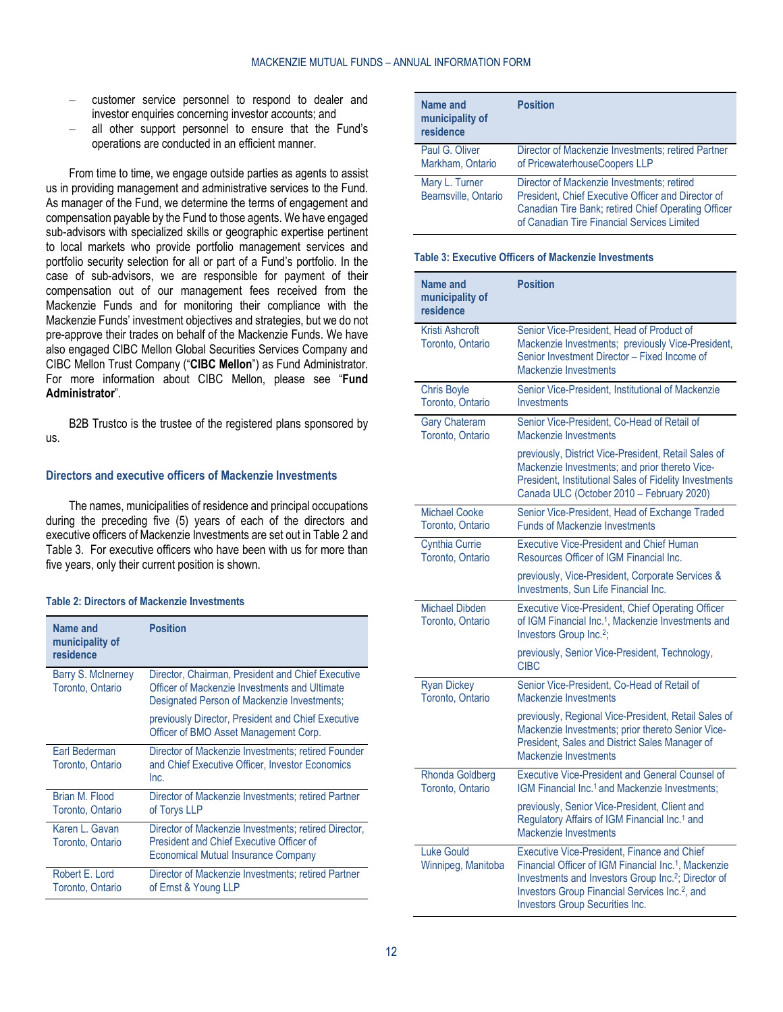- customer service personnel to respond to dealer and investor enquiries concerning investor accounts; and
- all other support personnel to ensure that the Fund's operations are conducted in an efficient manner.

From time to time, we engage outside parties as agents to assist us in providing management and administrative services to the Fund. As manager of the Fund, we determine the terms of engagement and compensation payable by the Fund to those agents. We have engaged sub-advisors with specialized skills or geographic expertise pertinent to local markets who provide portfolio management services and portfolio security selection for all or part of a Fund's portfolio. In the case of sub-advisors, we are responsible for payment of their compensation out of our management fees received from the Mackenzie Funds and for monitoring their compliance with the Mackenzie Funds' investment objectives and strategies, but we do not pre-approve their trades on behalf of the Mackenzie Funds. We have also engaged CIBC Mellon Global Securities Services Company and CIBC Mellon Trust Company ("**CIBC Mellon**") as Fund Administrator. For more information about CIBC Mellon, please see "**Fund Administrator**".

B2B Trustco is the trustee of the registered plans sponsored by us.

#### <span id="page-11-2"></span>**Directors and executive officers of Mackenzie Investments**

The names, municipalities of residence and principal occupations during the preceding five (5) years of each of the directors and executive officers of Mackenzie Investments are set out i[n Table](#page-11-0) 2 and [Table](#page-11-1) 3. For executive officers who have been with us for more than five years, only their current position is shown.

#### <span id="page-11-0"></span>**Table 2: Directors of Mackenzie Investments**

| Name and<br>municipality of<br>residence | <b>Position</b>                                                                                                                                   |
|------------------------------------------|---------------------------------------------------------------------------------------------------------------------------------------------------|
| Barry S. McInerney<br>Toronto, Ontario   | Director, Chairman, President and Chief Executive<br>Officer of Mackenzie Investments and Ultimate<br>Designated Person of Mackenzie Investments; |
|                                          | previously Director, President and Chief Executive<br>Officer of BMO Asset Management Corp.                                                       |
| Earl Bederman<br>Toronto, Ontario        | Director of Mackenzie Investments; retired Founder<br>and Chief Executive Officer, Investor Economics<br>Inc.                                     |
| Brian M. Flood<br>Toronto, Ontario       | Director of Mackenzie Investments; retired Partner<br>of Torys LLP                                                                                |
| Karen L. Gavan<br>Toronto, Ontario       | Director of Mackenzie Investments; retired Director,<br>President and Chief Executive Officer of<br><b>Economical Mutual Insurance Company</b>    |
| Robert E. Lord<br>Toronto, Ontario       | Director of Mackenzie Investments; retired Partner<br>of Ernst & Young LLP                                                                        |

| Name and<br>municipality of<br>residence | <b>Position</b>                                                                                                                                                                                        |
|------------------------------------------|--------------------------------------------------------------------------------------------------------------------------------------------------------------------------------------------------------|
| Paul G. Oliver<br>Markham, Ontario       | Director of Mackenzie Investments; retired Partner<br>of PricewaterhouseCoopers LLP                                                                                                                    |
| Mary L. Turner<br>Beamsville, Ontario    | Director of Mackenzie Investments; retired<br>President, Chief Executive Officer and Director of<br>Canadian Tire Bank; retired Chief Operating Officer<br>of Canadian Tire Financial Services Limited |

#### <span id="page-11-1"></span>**Table 3: Executive Officers of Mackenzie Investments**

| <b>Name and</b><br>municipality of<br>residence | <b>Position</b>                                                                                                                                                                                                                                                                            |
|-------------------------------------------------|--------------------------------------------------------------------------------------------------------------------------------------------------------------------------------------------------------------------------------------------------------------------------------------------|
| Kristi Ashcroft<br>Toronto, Ontario             | Senior Vice-President, Head of Product of<br>Mackenzie Investments; previously Vice-President,<br>Senior Investment Director - Fixed Income of<br>Mackenzie Investments                                                                                                                    |
| <b>Chris Boyle</b><br>Toronto, Ontario          | Senior Vice-President, Institutional of Mackenzie<br>Investments                                                                                                                                                                                                                           |
| <b>Gary Chateram</b><br>Toronto, Ontario        | Senior Vice-President, Co-Head of Retail of<br>Mackenzie Investments                                                                                                                                                                                                                       |
|                                                 | previously, District Vice-President, Retail Sales of<br>Mackenzie Investments; and prior thereto Vice-<br>President, Institutional Sales of Fidelity Investments<br>Canada ULC (October 2010 - February 2020)                                                                              |
| <b>Michael Cooke</b><br>Toronto, Ontario        | Senior Vice-President, Head of Exchange Traded<br><b>Funds of Mackenzie Investments</b>                                                                                                                                                                                                    |
| <b>Cynthia Currie</b><br>Toronto, Ontario       | <b>Executive Vice-President and Chief Human</b><br>Resources Officer of IGM Financial Inc.                                                                                                                                                                                                 |
|                                                 | previously, Vice-President, Corporate Services &<br>Investments, Sun Life Financial Inc.                                                                                                                                                                                                   |
| Michael Dibden<br>Toronto, Ontario              | <b>Executive Vice-President, Chief Operating Officer</b><br>of IGM Financial Inc. <sup>1</sup> , Mackenzie Investments and<br>Investors Group Inc. <sup>2</sup> ;                                                                                                                          |
|                                                 | previously, Senior Vice-President, Technology,<br><b>CIBC</b>                                                                                                                                                                                                                              |
| <b>Ryan Dickey</b><br>Toronto, Ontario          | Senior Vice-President, Co-Head of Retail of<br>Mackenzie Investments                                                                                                                                                                                                                       |
|                                                 | previously, Regional Vice-President, Retail Sales of<br>Mackenzie Investments; prior thereto Senior Vice-<br>President, Sales and District Sales Manager of<br>Mackenzie Investments                                                                                                       |
| <b>Rhonda Goldberg</b><br>Toronto, Ontario      | Executive Vice-President and General Counsel of<br>IGM Financial Inc. <sup>1</sup> and Mackenzie Investments;                                                                                                                                                                              |
|                                                 | previously, Senior Vice-President, Client and<br>Regulatory Affairs of IGM Financial Inc. <sup>1</sup> and<br>Mackenzie Investments                                                                                                                                                        |
| <b>Luke Gould</b><br>Winnipeg, Manitoba         | Executive Vice-President, Finance and Chief<br>Financial Officer of IGM Financial Inc. <sup>1</sup> , Mackenzie<br>Investments and Investors Group Inc. <sup>2</sup> ; Director of<br>Investors Group Financial Services Inc. <sup>2</sup> , and<br><b>Investors Group Securities Inc.</b> |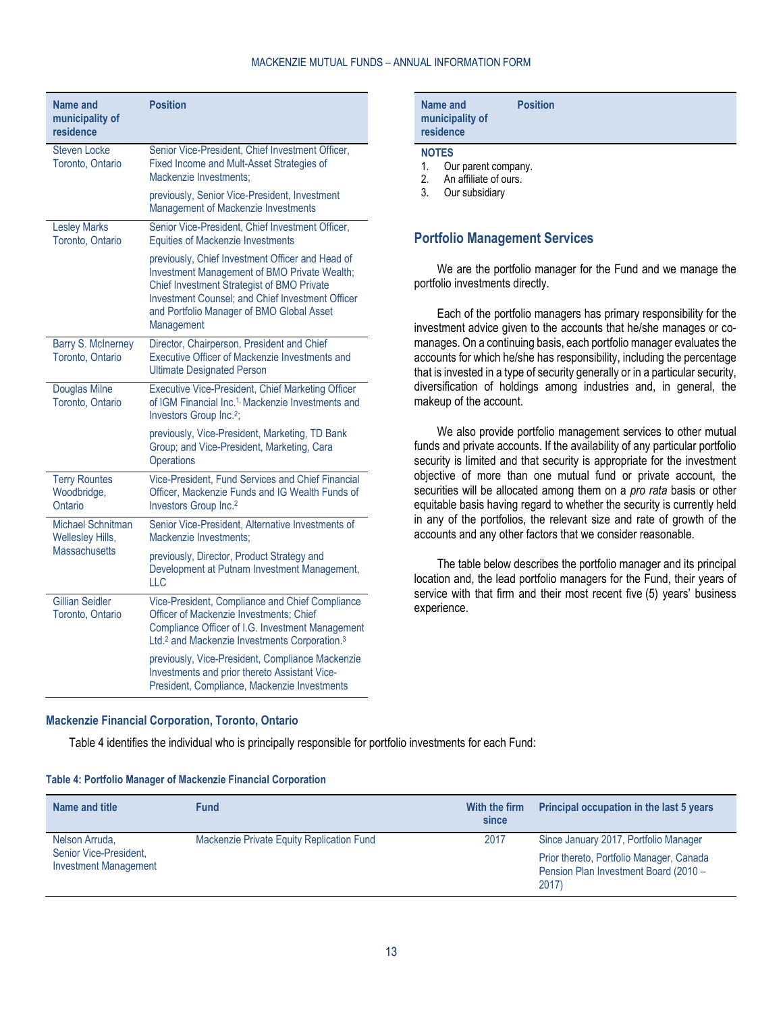#### MACKENZIE MUTUAL FUNDS – ANNUAL INFORMATION FORM

| Name and<br>municipality of<br>residence       | <b>Position</b>                                                                                                                                                                                                                                                      |
|------------------------------------------------|----------------------------------------------------------------------------------------------------------------------------------------------------------------------------------------------------------------------------------------------------------------------|
| <b>Steven Locke</b><br>Toronto, Ontario        | Senior Vice-President, Chief Investment Officer,<br>Fixed Income and Mult-Asset Strategies of<br>Mackenzie Investments:                                                                                                                                              |
|                                                | previously, Senior Vice-President, Investment<br>Management of Mackenzie Investments                                                                                                                                                                                 |
| <b>Lesley Marks</b><br>Toronto, Ontario        | Senior Vice-President, Chief Investment Officer,<br><b>Equities of Mackenzie Investments</b>                                                                                                                                                                         |
|                                                | previously, Chief Investment Officer and Head of<br>Investment Management of BMO Private Wealth;<br>Chief Investment Strategist of BMO Private<br><b>Investment Counsel: and Chief Investment Officer</b><br>and Portfolio Manager of BMO Global Asset<br>Management |
| Barry S. McInerney<br>Toronto, Ontario         | Director, Chairperson, President and Chief<br>Executive Officer of Mackenzie Investments and<br><b>Ultimate Designated Person</b>                                                                                                                                    |
| <b>Douglas Milne</b><br>Toronto, Ontario       | <b>Executive Vice-President, Chief Marketing Officer</b><br>of IGM Financial Inc. <sup>1,</sup> Mackenzie Investments and<br>Investors Group Inc. <sup>2</sup> ;                                                                                                     |
|                                                | previously, Vice-President, Marketing, TD Bank<br>Group; and Vice-President, Marketing, Cara<br><b>Operations</b>                                                                                                                                                    |
| <b>Terry Rountes</b><br>Woodbridge,<br>Ontario | Vice-President, Fund Services and Chief Financial<br>Officer, Mackenzie Funds and IG Wealth Funds of<br>Investors Group Inc. <sup>2</sup>                                                                                                                            |
| Michael Schnitman<br><b>Wellesley Hills,</b>   | Senior Vice-President, Alternative Investments of<br>Mackenzie Investments:                                                                                                                                                                                          |
| <b>Massachusetts</b>                           | previously, Director, Product Strategy and<br>Development at Putnam Investment Management,<br>LLC                                                                                                                                                                    |
| <b>Gillian Seidler</b><br>Toronto, Ontario     | Vice-President, Compliance and Chief Compliance<br>Officer of Mackenzie Investments; Chief<br>Compliance Officer of I.G. Investment Management<br>Ltd. <sup>2</sup> and Mackenzie Investments Corporation. <sup>3</sup>                                              |
|                                                | previously, Vice-President, Compliance Mackenzie<br>Investments and prior thereto Assistant Vice-<br>President, Compliance, Mackenzie Investments                                                                                                                    |

| Name and<br>municipality of<br>residence                                                                                    | <b>Position</b> |
|-----------------------------------------------------------------------------------------------------------------------------|-----------------|
| <b>NOTES</b><br>$\overline{A}$<br>$\bigcap_{x\in\mathbb{R}}$ and $x\in\mathbb{R}$ and $x\in\mathbb{R}$ and $x\in\mathbb{R}$ |                 |

1. Our parent company.

2. An affiliate of ours.<br>3. Our subsidiary Our subsidiary

# <span id="page-12-0"></span>**Portfolio Management Services**

We are the portfolio manager for the Fund and we manage the portfolio investments directly.

Each of the portfolio managers has primary responsibility for the investment advice given to the accounts that he/she manages or comanages. On a continuing basis, each portfolio manager evaluates the accounts for which he/she has responsibility, including the percentage that is invested in a type of security generally or in a particular security, diversification of holdings among industries and, in general, the makeup of the account.

We also provide portfolio management services to other mutual funds and private accounts. If the availability of any particular portfolio security is limited and that security is appropriate for the investment objective of more than one mutual fund or private account, the securities will be allocated among them on a *pro rata* basis or other equitable basis having regard to whether the security is currently held in any of the portfolios, the relevant size and rate of growth of the accounts and any other factors that we consider reasonable.

The table below describes the portfolio manager and its principal location and, the lead portfolio managers for the Fund, their years of service with that firm and their most recent five (5) years' business experience.

#### **Mackenzie Financial Corporation, Toronto, Ontario**

[Table](#page-12-1) 4 identifies the individual who is principally responsible for portfolio investments for each Fund:

#### <span id="page-12-1"></span>**Table 4: Portfolio Manager of Mackenzie Financial Corporation**

| Name and title                                                           | <b>Fund</b>                               | With the firm<br>since | Principal occupation in the last 5 years                                                                                           |
|--------------------------------------------------------------------------|-------------------------------------------|------------------------|------------------------------------------------------------------------------------------------------------------------------------|
| Nelson Arruda,<br>Senior Vice-President,<br><b>Investment Management</b> | Mackenzie Private Equity Replication Fund | 2017                   | Since January 2017, Portfolio Manager<br>Prior thereto, Portfolio Manager, Canada<br>Pension Plan Investment Board (2010 -<br>2017 |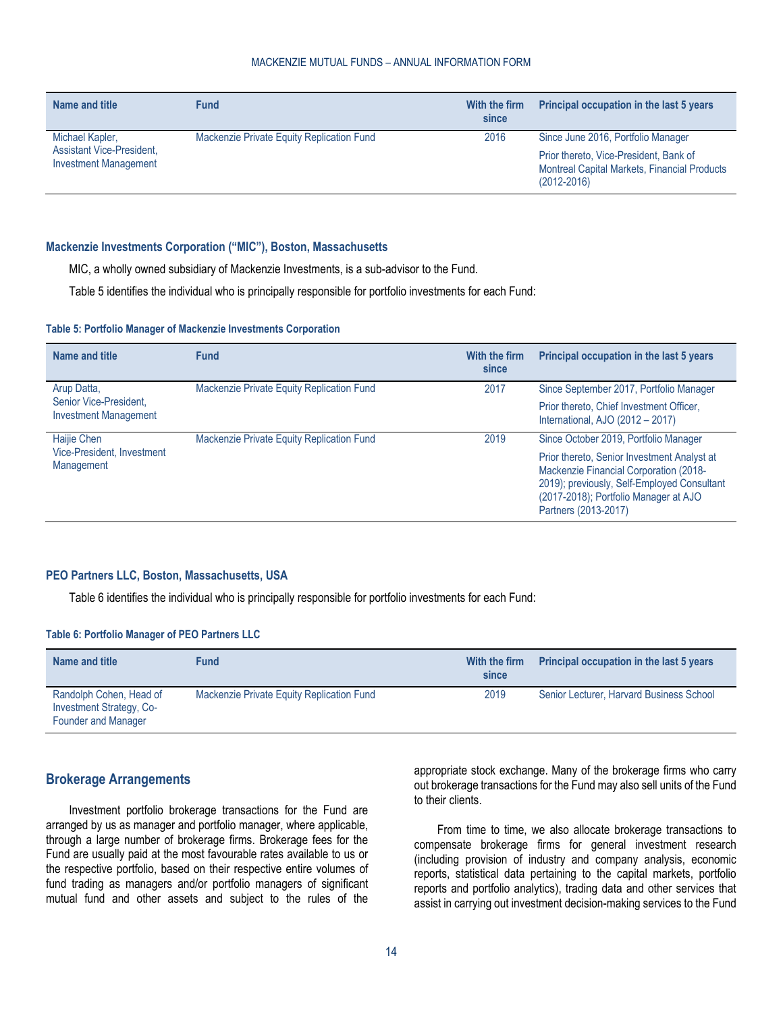#### MACKENZIE MUTUAL FUNDS – ANNUAL INFORMATION FORM

| Name and title                                                                      | <b>Fund</b>                               | With the firm<br>since | Principal occupation in the last 5 years                                                                                                               |
|-------------------------------------------------------------------------------------|-------------------------------------------|------------------------|--------------------------------------------------------------------------------------------------------------------------------------------------------|
| Michael Kapler,<br><b>Assistant Vice-President,</b><br><b>Investment Management</b> | Mackenzie Private Equity Replication Fund | 2016                   | Since June 2016, Portfolio Manager<br>Prior thereto, Vice-President, Bank of<br><b>Montreal Capital Markets, Financial Products</b><br>$(2012 - 2016)$ |

#### **Mackenzie Investments Corporation ("MIC"), Boston, Massachusetts**

MIC, a wholly owned subsidiary of Mackenzie Investments, is a sub-advisor to the Fund.

[Table](#page-13-1) 5 identifies the individual who is principally responsible for portfolio investments for each Fund:

#### <span id="page-13-1"></span>**Table 5: Portfolio Manager of Mackenzie Investments Corporation**

| Name and title                                         | <b>Fund</b>                               | With the firm<br>since | Principal occupation in the last 5 years                                                                                                                                                              |
|--------------------------------------------------------|-------------------------------------------|------------------------|-------------------------------------------------------------------------------------------------------------------------------------------------------------------------------------------------------|
| Arup Datta,                                            | Mackenzie Private Equity Replication Fund | 2017                   | Since September 2017, Portfolio Manager                                                                                                                                                               |
| Senior Vice-President,<br><b>Investment Management</b> |                                           |                        | Prior thereto, Chief Investment Officer,<br>International, AJO (2012 - 2017)                                                                                                                          |
| Haijie Chen                                            | Mackenzie Private Equity Replication Fund | 2019                   | Since October 2019, Portfolio Manager                                                                                                                                                                 |
| Vice-President, Investment<br>Management               |                                           |                        | Prior thereto, Senior Investment Analyst at<br>Mackenzie Financial Corporation (2018-<br>2019); previously, Self-Employed Consultant<br>(2017-2018); Portfolio Manager at AJO<br>Partners (2013-2017) |

#### **PEO Partners LLC, Boston, Massachusetts, USA**

[Table](#page-13-2) 6 identifies the individual who is principally responsible for portfolio investments for each Fund:

#### <span id="page-13-2"></span>**Table 6: Portfolio Manager of PEO Partners LLC**

| Name and title                                                                    | <b>Fund</b>                               | With the firm<br>since | <b>Principal occupation in the last 5 years</b> |
|-----------------------------------------------------------------------------------|-------------------------------------------|------------------------|-------------------------------------------------|
| Randolph Cohen, Head of<br><b>Investment Strategy, Co-</b><br>Founder and Manager | Mackenzie Private Equity Replication Fund | 2019                   | Senior Lecturer, Harvard Business School        |

# <span id="page-13-0"></span>**Brokerage Arrangements**

Investment portfolio brokerage transactions for the Fund are arranged by us as manager and portfolio manager, where applicable, through a large number of brokerage firms. Brokerage fees for the Fund are usually paid at the most favourable rates available to us or the respective portfolio, based on their respective entire volumes of fund trading as managers and/or portfolio managers of significant mutual fund and other assets and subject to the rules of the

appropriate stock exchange. Many of the brokerage firms who carry out brokerage transactions for the Fund may also sell units of the Fund to their clients.

From time to time, we also allocate brokerage transactions to compensate brokerage firms for general investment research (including provision of industry and company analysis, economic reports, statistical data pertaining to the capital markets, portfolio reports and portfolio analytics), trading data and other services that assist in carrying out investment decision-making services to the Fund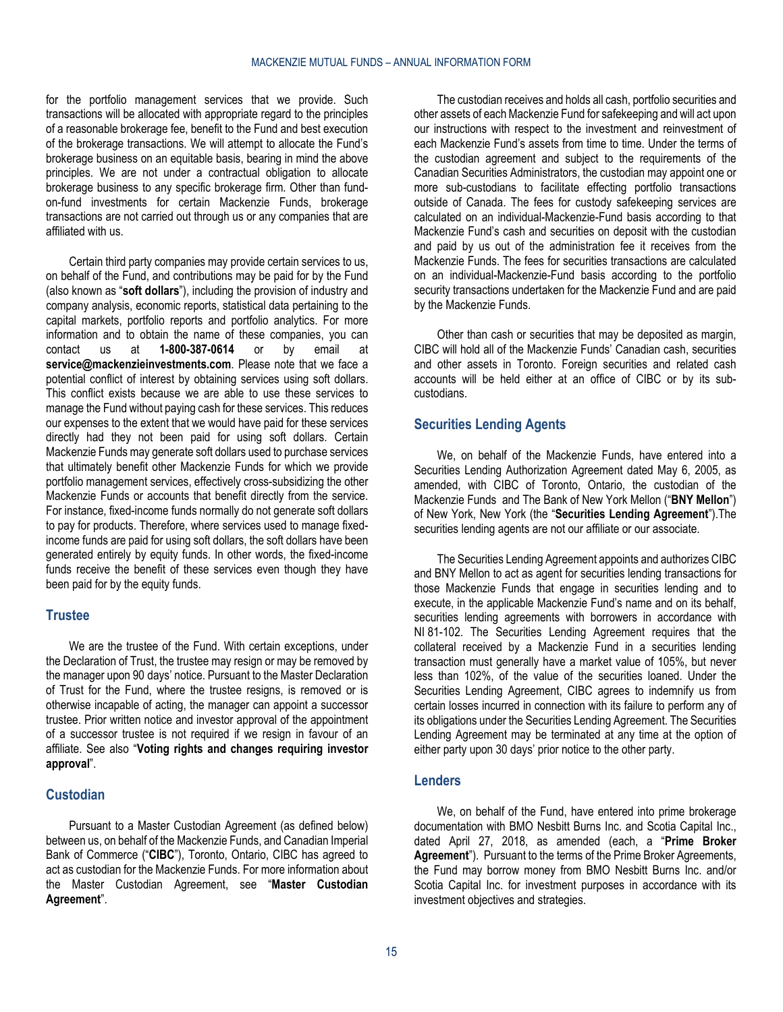for the portfolio management services that we provide. Such transactions will be allocated with appropriate regard to the principles of a reasonable brokerage fee, benefit to the Fund and best execution of the brokerage transactions. We will attempt to allocate the Fund's brokerage business on an equitable basis, bearing in mind the above principles. We are not under a contractual obligation to allocate brokerage business to any specific brokerage firm. Other than fundon-fund investments for certain Mackenzie Funds, brokerage transactions are not carried out through us or any companies that are affiliated with us.

Certain third party companies may provide certain services to us, on behalf of the Fund, and contributions may be paid for by the Fund (also known as "**soft dollars**"), including the provision of industry and company analysis, economic reports, statistical data pertaining to the capital markets, portfolio reports and portfolio analytics. For more information and to obtain the name of these companies, you can<br>contact us at **1-800-387-0614** or by email at contact us at **1-800-387-0614** or by email at **[service@mackenzieinvestments.com](mailto:service@mackenzieinvestments.com)**. Please note that we face a potential conflict of interest by obtaining services using soft dollars. This conflict exists because we are able to use these services to manage the Fund without paying cash for these services. This reduces our expenses to the extent that we would have paid for these services directly had they not been paid for using soft dollars. Certain Mackenzie Funds may generate soft dollars used to purchase services that ultimately benefit other Mackenzie Funds for which we provide portfolio management services, effectively cross-subsidizing the other Mackenzie Funds or accounts that benefit directly from the service. For instance, fixed-income funds normally do not generate soft dollars to pay for products. Therefore, where services used to manage fixedincome funds are paid for using soft dollars, the soft dollars have been generated entirely by equity funds. In other words, the fixed-income funds receive the benefit of these services even though they have been paid for by the equity funds.

# <span id="page-14-0"></span>**Trustee**

We are the trustee of the Fund. With certain exceptions, under the Declaration of Trust, the trustee may resign or may be removed by the manager upon 90 days' notice. Pursuant to the Master Declaration of Trust for the Fund, where the trustee resigns, is removed or is otherwise incapable of acting, the manager can appoint a successor trustee. Prior written notice and investor approval of the appointment of a successor trustee is not required if we resign in favour of an affiliate. See also "**[Voting rights and changes requiring investor](#page-4-3)  [approval](#page-4-3)**".

# <span id="page-14-1"></span>**Custodian**

Pursuant to a Master Custodian Agreement (as defined below) between us, on behalf of the Mackenzie Funds, and Canadian Imperial Bank of Commerce ("**CIBC**"), Toronto, Ontario, CIBC has agreed to act as custodian for the Mackenzie Funds. For more information about the Master Custodian Agreement, see "**[Master Custodian](#page-29-0)  [Agreement](#page-29-0)**".

The custodian receives and holds all cash, portfolio securities and other assets of each Mackenzie Fund for safekeeping and will act upon our instructions with respect to the investment and reinvestment of each Mackenzie Fund's assets from time to time. Under the terms of the custodian agreement and subject to the requirements of the Canadian Securities Administrators, the custodian may appoint one or more sub-custodians to facilitate effecting portfolio transactions outside of Canada. The fees for custody safekeeping services are calculated on an individual-Mackenzie-Fund basis according to that Mackenzie Fund's cash and securities on deposit with the custodian and paid by us out of the administration fee it receives from the Mackenzie Funds. The fees for securities transactions are calculated on an individual-Mackenzie-Fund basis according to the portfolio security transactions undertaken for the Mackenzie Fund and are paid by the Mackenzie Funds.

Other than cash or securities that may be deposited as margin, CIBC will hold all of the Mackenzie Funds' Canadian cash, securities and other assets in Toronto. Foreign securities and related cash accounts will be held either at an office of CIBC or by its subcustodians.

# <span id="page-14-2"></span>**Securities Lending Agents**

We, on behalf of the Mackenzie Funds, have entered into a Securities Lending Authorization Agreement dated May 6, 2005, as amended, with CIBC of Toronto, Ontario, the custodian of the Mackenzie Funds and The Bank of New York Mellon ("**BNY Mellon**") of New York, New York (the "**Securities Lending Agreement**").The securities lending agents are not our affiliate or our associate.

The Securities Lending Agreement appoints and authorizes CIBC and BNY Mellon to act as agent for securities lending transactions for those Mackenzie Funds that engage in securities lending and to execute, in the applicable Mackenzie Fund's name and on its behalf, securities lending agreements with borrowers in accordance with NI 81-102. The Securities Lending Agreement requires that the collateral received by a Mackenzie Fund in a securities lending transaction must generally have a market value of 105%, but never less than 102%, of the value of the securities loaned. Under the Securities Lending Agreement, CIBC agrees to indemnify us from certain losses incurred in connection with its failure to perform any of its obligations under the Securities Lending Agreement. The Securities Lending Agreement may be terminated at any time at the option of either party upon 30 days' prior notice to the other party.

# <span id="page-14-3"></span>**Lenders**

We, on behalf of the Fund, have entered into prime brokerage documentation with BMO Nesbitt Burns Inc. and Scotia Capital Inc., dated April 27, 2018, as amended (each, a "**Prime Broker Agreement**"). Pursuant to the terms of the Prime Broker Agreements, the Fund may borrow money from BMO Nesbitt Burns Inc. and/or Scotia Capital Inc. for investment purposes in accordance with its investment objectives and strategies.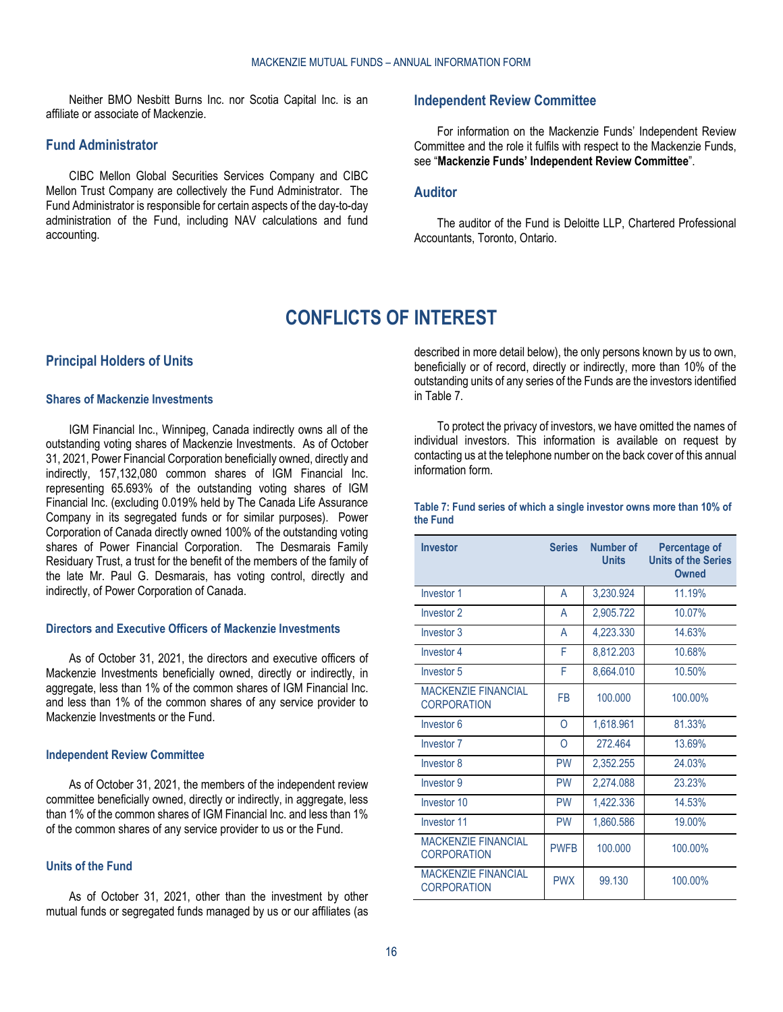Neither BMO Nesbitt Burns Inc. nor Scotia Capital Inc. is an affiliate or associate of Mackenzie.

### <span id="page-15-0"></span>**Fund Administrator**

CIBC Mellon Global Securities Services Company and CIBC Mellon Trust Company are collectively the Fund Administrator. The Fund Administrator is responsible for certain aspects of the day-to-day administration of the Fund, including NAV calculations and fund accounting.

### **Independent Review Committee**

For information on the Mackenzie Funds' Independent Review Committee and the role it fulfils with respect to the Mackenzie Funds, see "**[Mackenzie Funds' Independent Review Committee](#page-19-0)**".

### <span id="page-15-1"></span>**Auditor**

The auditor of the Fund is Deloitte LLP, Chartered Professional Accountants, Toronto, Ontario.

# **CONFLICTS OF INTEREST**

#### <span id="page-15-3"></span><span id="page-15-2"></span>**Principal Holders of Units**

# **Shares of Mackenzie Investments**

IGM Financial Inc., Winnipeg, Canada indirectly owns all of the outstanding voting shares of Mackenzie Investments. As of October 31, 2021, Power Financial Corporation beneficially owned, directly and indirectly, 157,132,080 common shares of IGM Financial Inc. representing 65.693% of the outstanding voting shares of IGM Financial Inc. (excluding 0.019% held by The Canada Life Assurance Company in its segregated funds or for similar purposes). Power Corporation of Canada directly owned 100% of the outstanding voting shares of Power Financial Corporation. The Desmarais Family Residuary Trust, a trust for the benefit of the members of the family of the late Mr. Paul G. Desmarais, has voting control, directly and indirectly, of Power Corporation of Canada.

### **Directors and Executive Officers of Mackenzie Investments**

As of October 31, 2021, the directors and executive officers of Mackenzie Investments beneficially owned, directly or indirectly, in aggregate, less than 1% of the common shares of IGM Financial Inc. and less than 1% of the common shares of any service provider to Mackenzie Investments or the Fund.

#### **Independent Review Committee**

As of October 31, 2021, the members of the independent review committee beneficially owned, directly or indirectly, in aggregate, less than 1% of the common shares of IGM Financial Inc. and less than 1% of the common shares of any service provider to us or the Fund.

#### **Units of the Fund**

As of October 31, 2021, other than the investment by other mutual funds or segregated funds managed by us or our affiliates (as

described in more detail below), the only persons known by us to own, beneficially or of record, directly or indirectly, more than 10% of the outstanding units of any series of the Funds are the investors identified i[n Table](#page-15-4) 7.

To protect the privacy of investors, we have omitted the names of individual investors. This information is available on request by contacting us at the telephone number on the back cover of this annual information form.

<span id="page-15-4"></span>

| Table 7: Fund series of which a single investor owns more than 10% of |  |  |  |  |  |
|-----------------------------------------------------------------------|--|--|--|--|--|
| the Fund                                                              |  |  |  |  |  |

| <b>Investor</b>                                  | <b>Series</b> | Number of<br><b>Units</b> | Percentage of<br><b>Units of the Series</b><br>Owned |
|--------------------------------------------------|---------------|---------------------------|------------------------------------------------------|
| Investor 1                                       | A             | 3,230.924                 | 11.19%                                               |
| Investor <sub>2</sub>                            | A             | 2,905.722                 | 10.07%                                               |
| Investor 3                                       | A             | 4,223.330                 | 14.63%                                               |
| Investor 4                                       | F             | 8,812.203                 | 10.68%                                               |
| Investor 5                                       | F             | 8,664.010                 | 10.50%                                               |
| <b>MACKENZIE FINANCIAL</b><br><b>CORPORATION</b> | <b>FB</b>     | 100,000                   | 100.00%                                              |
| Investor 6                                       | O             | 1,618.961                 | 81.33%                                               |
| Investor <sub>7</sub>                            | 0             | 272.464                   | 13.69%                                               |
| Investor 8                                       | <b>PW</b>     | 2,352.255                 | 24.03%                                               |
| Investor 9                                       | <b>PW</b>     | 2,274.088                 | 23.23%                                               |
| Investor 10                                      | <b>PW</b>     | 1,422.336                 | 14.53%                                               |
| Investor 11                                      | <b>PW</b>     | 1,860.586                 | 19.00%                                               |
| <b>MACKENZIE FINANCIAL</b><br><b>CORPORATION</b> | <b>PWFR</b>   | 100.000                   | 100.00%                                              |
| <b>MACKENZIE FINANCIAL</b><br><b>CORPORATION</b> | <b>PWX</b>    | 99.130                    | 100.00%                                              |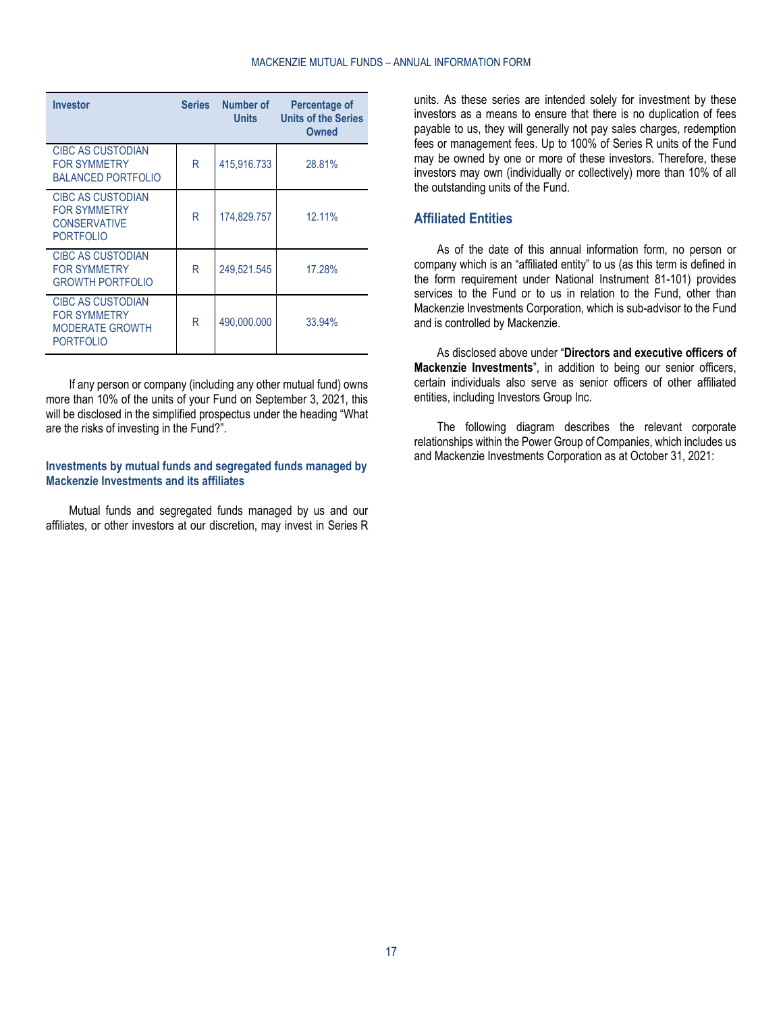| <b>Investor</b>                                                                               | <b>Series</b> | Number of<br>Units | Percentage of<br><b>Units of the Series</b><br>Owned |
|-----------------------------------------------------------------------------------------------|---------------|--------------------|------------------------------------------------------|
| <b>CIBC AS CUSTODIAN</b><br><b>FOR SYMMETRY</b><br><b>BALANCED PORTFOLIO</b>                  | R             | 415,916.733        | 28.81%                                               |
| CIBC AS CUSTODIAN<br><b>FOR SYMMETRY</b><br><b>CONSERVATIVE</b><br><b>PORTFOLIO</b>           | R             | 174.829.757        | 12.11%                                               |
| <b>CIBC AS CUSTODIAN</b><br><b>FOR SYMMETRY</b><br><b>GROWTH PORTFOLIO</b>                    | R             | 249,521.545        | 17.28%                                               |
| <b>CIBC AS CUSTODIAN</b><br><b>FOR SYMMETRY</b><br><b>MODERATE GROWTH</b><br><b>PORTFOLIO</b> | R             | 490.000.000        | 33.94%                                               |

If any person or company (including any other mutual fund) owns more than 10% of the units of your Fund on September 3, 2021, this will be disclosed in the simplified prospectus under the heading "What are the risks of investing in the Fund?".

#### **Investments by mutual funds and segregated funds managed by Mackenzie Investments and its affiliates**

Mutual funds and segregated funds managed by us and our affiliates, or other investors at our discretion, may invest in Series R

units. As these series are intended solely for investment by these investors as a means to ensure that there is no duplication of fees payable to us, they will generally not pay sales charges, redemption fees or management fees. Up to 100% of Series R units of the Fund may be owned by one or more of these investors. Therefore, these investors may own (individually or collectively) more than 10% of all the outstanding units of the Fund.

# <span id="page-16-0"></span>**Affiliated Entities**

As of the date of this annual information form, no person or company which is an "affiliated entity" to us (as this term is defined in the form requirement under National Instrument 81-101) provides services to the Fund or to us in relation to the Fund, other than Mackenzie Investments Corporation, which is sub-advisor to the Fund and is controlled by Mackenzie.

As disclosed above under "**[Directors and executive officers of](#page-11-2)  [Mackenzie Investments](#page-11-2)**", in addition to being our senior officers, certain individuals also serve as senior officers of other affiliated entities, including Investors Group Inc.

The following diagram describes the relevant corporate relationships within the Power Group of Companies, which includes us and Mackenzie Investments Corporation as at October 31, 2021: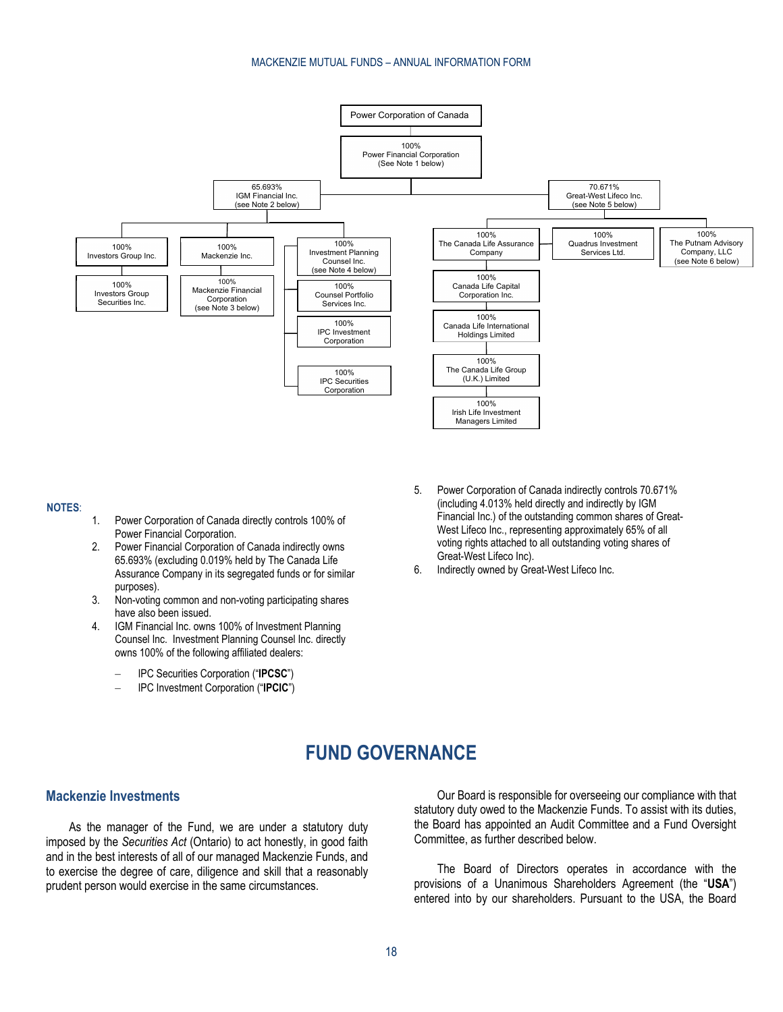#### MACKENZIE MUTUAL FUNDS – ANNUAL INFORMATION FORM



#### **NOTES**:

- 1. Power Corporation of Canada directly controls 100% of Power Financial Corporation.
- 2. Power Financial Corporation of Canada indirectly owns 65.693% (excluding 0.019% held by The Canada Life Assurance Company in its segregated funds or for similar purposes).
- 3. Non-voting common and non-voting participating shares have also been issued.
- 4. IGM Financial Inc. owns 100% of Investment Planning Counsel Inc. Investment Planning Counsel Inc. directly owns 100% of the following affiliated dealers:
	- IPC Securities Corporation ("**IPCSC**")
	- IPC Investment Corporation ("**IPCIC**")
- 5. Power Corporation of Canada indirectly controls 70.671% (including 4.013% held directly and indirectly by IGM Financial Inc.) of the outstanding common shares of Great-West Lifeco Inc., representing approximately 65% of all voting rights attached to all outstanding voting shares of Great-West Lifeco Inc).
- 6. Indirectly owned by Great-West Lifeco Inc.

# **FUND GOVERNANCE**

# <span id="page-17-1"></span><span id="page-17-0"></span>**Mackenzie Investments**

As the manager of the Fund, we are under a statutory duty imposed by the *Securities Act* (Ontario) to act honestly, in good faith and in the best interests of all of our managed Mackenzie Funds, and to exercise the degree of care, diligence and skill that a reasonably prudent person would exercise in the same circumstances.

Our Board is responsible for overseeing our compliance with that statutory duty owed to the Mackenzie Funds. To assist with its duties, the Board has appointed an Audit Committee and a Fund Oversight Committee, as further described below.

The Board of Directors operates in accordance with the provisions of a Unanimous Shareholders Agreement (the "**USA**") entered into by our shareholders. Pursuant to the USA, the Board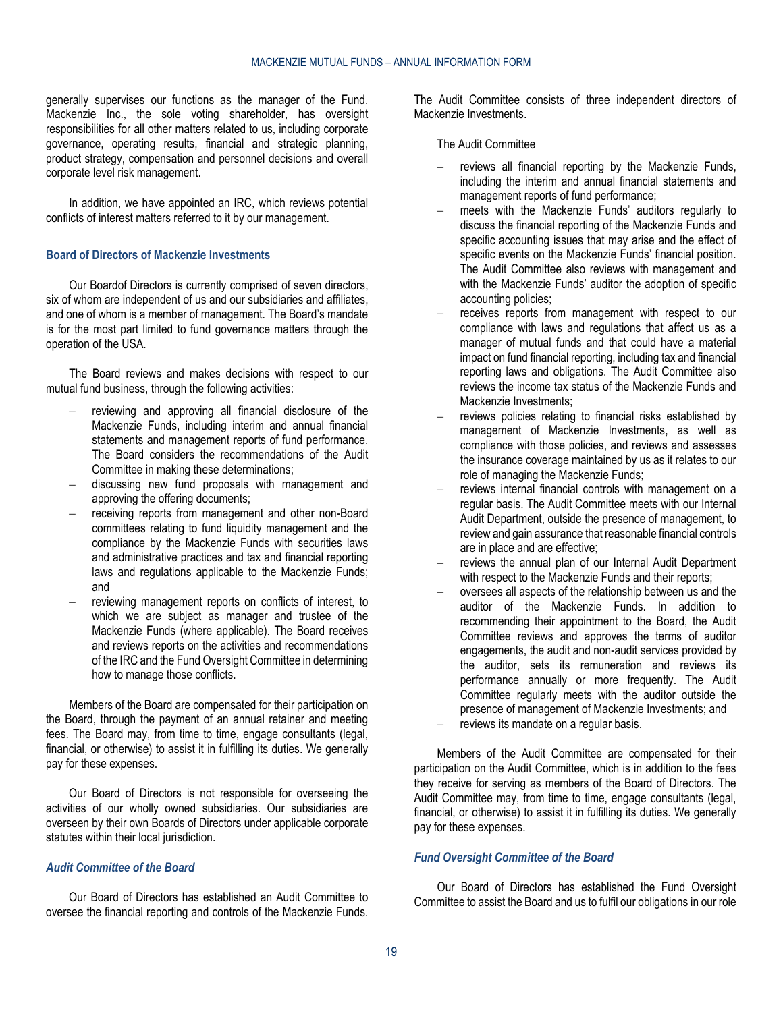generally supervises our functions as the manager of the Fund. Mackenzie Inc., the sole voting shareholder, has oversight responsibilities for all other matters related to us, including corporate governance, operating results, financial and strategic planning, product strategy, compensation and personnel decisions and overall corporate level risk management.

In addition, we have appointed an IRC, which reviews potential conflicts of interest matters referred to it by our management.

### **Board of Directors of Mackenzie Investments**

Our Boardof Directors is currently comprised of seven directors, six of whom are independent of us and our subsidiaries and affiliates, and one of whom is a member of management. The Board's mandate is for the most part limited to fund governance matters through the operation of the USA.

The Board reviews and makes decisions with respect to our mutual fund business, through the following activities:

- reviewing and approving all financial disclosure of the Mackenzie Funds, including interim and annual financial statements and management reports of fund performance. The Board considers the recommendations of the Audit Committee in making these determinations;
- discussing new fund proposals with management and approving the offering documents;
- receiving reports from management and other non-Board committees relating to fund liquidity management and the compliance by the Mackenzie Funds with securities laws and administrative practices and tax and financial reporting laws and regulations applicable to the Mackenzie Funds; and
- reviewing management reports on conflicts of interest, to which we are subject as manager and trustee of the Mackenzie Funds (where applicable). The Board receives and reviews reports on the activities and recommendations of the IRC and the Fund Oversight Committee in determining how to manage those conflicts.

Members of the Board are compensated for their participation on the Board, through the payment of an annual retainer and meeting fees. The Board may, from time to time, engage consultants (legal, financial, or otherwise) to assist it in fulfilling its duties. We generally pay for these expenses.

Our Board of Directors is not responsible for overseeing the activities of our wholly owned subsidiaries. Our subsidiaries are overseen by their own Boards of Directors under applicable corporate statutes within their local jurisdiction.

### *Audit Committee of the Board*

Our Board of Directors has established an Audit Committee to oversee the financial reporting and controls of the Mackenzie Funds. The Audit Committee consists of three independent directors of Mackenzie Investments.

#### The Audit Committee

- reviews all financial reporting by the Mackenzie Funds, including the interim and annual financial statements and management reports of fund performance;
- meets with the Mackenzie Funds' auditors regularly to discuss the financial reporting of the Mackenzie Funds and specific accounting issues that may arise and the effect of specific events on the Mackenzie Funds' financial position. The Audit Committee also reviews with management and with the Mackenzie Funds' auditor the adoption of specific accounting policies;
- receives reports from management with respect to our compliance with laws and regulations that affect us as a manager of mutual funds and that could have a material impact on fund financial reporting, including tax and financial reporting laws and obligations. The Audit Committee also reviews the income tax status of the Mackenzie Funds and Mackenzie Investments;
- reviews policies relating to financial risks established by management of Mackenzie Investments, as well as compliance with those policies, and reviews and assesses the insurance coverage maintained by us as it relates to our role of managing the Mackenzie Funds;
- reviews internal financial controls with management on a regular basis. The Audit Committee meets with our Internal Audit Department, outside the presence of management, to review and gain assurance that reasonable financial controls are in place and are effective;
- reviews the annual plan of our Internal Audit Department with respect to the Mackenzie Funds and their reports;
- oversees all aspects of the relationship between us and the auditor of the Mackenzie Funds. In addition to recommending their appointment to the Board, the Audit Committee reviews and approves the terms of auditor engagements, the audit and non-audit services provided by the auditor, sets its remuneration and reviews its performance annually or more frequently. The Audit Committee regularly meets with the auditor outside the presence of management of Mackenzie Investments; and
- reviews its mandate on a regular basis.

Members of the Audit Committee are compensated for their participation on the Audit Committee, which is in addition to the fees they receive for serving as members of the Board of Directors. The Audit Committee may, from time to time, engage consultants (legal, financial, or otherwise) to assist it in fulfilling its duties. We generally pay for these expenses.

#### *Fund Oversight Committee of the Board*

Our Board of Directors has established the Fund Oversight Committee to assist the Board and us to fulfil our obligations in our role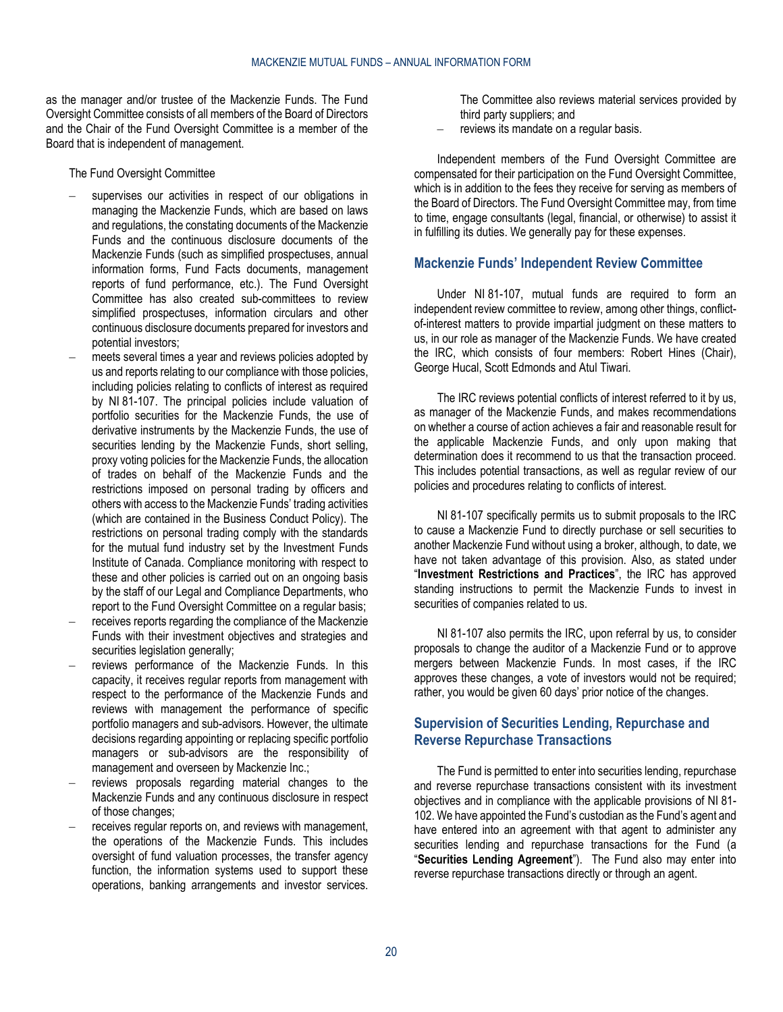as the manager and/or trustee of the Mackenzie Funds. The Fund Oversight Committee consists of all members of the Board of Directors and the Chair of the Fund Oversight Committee is a member of the Board that is independent of management.

The Fund Oversight Committee

- supervises our activities in respect of our obligations in managing the Mackenzie Funds, which are based on laws and regulations, the constating documents of the Mackenzie Funds and the continuous disclosure documents of the Mackenzie Funds (such as simplified prospectuses, annual information forms, Fund Facts documents, management reports of fund performance, etc.). The Fund Oversight Committee has also created sub-committees to review simplified prospectuses, information circulars and other continuous disclosure documents prepared for investors and potential investors;
- meets several times a year and reviews policies adopted by us and reports relating to our compliance with those policies, including policies relating to conflicts of interest as required by NI 81-107. The principal policies include valuation of portfolio securities for the Mackenzie Funds, the use of derivative instruments by the Mackenzie Funds, the use of securities lending by the Mackenzie Funds, short selling, proxy voting policies for the Mackenzie Funds, the allocation of trades on behalf of the Mackenzie Funds and the restrictions imposed on personal trading by officers and others with access to the Mackenzie Funds' trading activities (which are contained in the Business Conduct Policy). The restrictions on personal trading comply with the standards for the mutual fund industry set by the Investment Funds Institute of Canada. Compliance monitoring with respect to these and other policies is carried out on an ongoing basis by the staff of our Legal and Compliance Departments, who report to the Fund Oversight Committee on a regular basis;
- receives reports regarding the compliance of the Mackenzie Funds with their investment objectives and strategies and securities legislation generally;
- reviews performance of the Mackenzie Funds. In this capacity, it receives regular reports from management with respect to the performance of the Mackenzie Funds and reviews with management the performance of specific portfolio managers and sub-advisors. However, the ultimate decisions regarding appointing or replacing specific portfolio managers or sub-advisors are the responsibility of management and overseen by Mackenzie Inc.;
- reviews proposals regarding material changes to the Mackenzie Funds and any continuous disclosure in respect of those changes;
- receives regular reports on, and reviews with management, the operations of the Mackenzie Funds. This includes oversight of fund valuation processes, the transfer agency function, the information systems used to support these operations, banking arrangements and investor services.

The Committee also reviews material services provided by third party suppliers; and

reviews its mandate on a regular basis.

Independent members of the Fund Oversight Committee are compensated for their participation on the Fund Oversight Committee, which is in addition to the fees they receive for serving as members of the Board of Directors. The Fund Oversight Committee may, from time to time, engage consultants (legal, financial, or otherwise) to assist it in fulfilling its duties. We generally pay for these expenses.

# <span id="page-19-0"></span>**Mackenzie Funds' Independent Review Committee**

Under NI 81-107, mutual funds are required to form an independent review committee to review, among other things, conflictof-interest matters to provide impartial judgment on these matters to us, in our role as manager of the Mackenzie Funds. We have created the IRC, which consists of four members: Robert Hines (Chair), George Hucal, Scott Edmonds and Atul Tiwari.

The IRC reviews potential conflicts of interest referred to it by us, as manager of the Mackenzie Funds, and makes recommendations on whether a course of action achieves a fair and reasonable result for the applicable Mackenzie Funds, and only upon making that determination does it recommend to us that the transaction proceed. This includes potential transactions, as well as regular review of our policies and procedures relating to conflicts of interest.

NI 81-107 specifically permits us to submit proposals to the IRC to cause a Mackenzie Fund to directly purchase or sell securities to another Mackenzie Fund without using a broker, although, to date, we have not taken advantage of this provision. Also, as stated under "**[Investment Restrictions and Practices](#page-2-4)**", the IRC has approved standing instructions to permit the Mackenzie Funds to invest in securities of companies related to us.

NI 81-107 also permits the IRC, upon referral by us, to consider proposals to change the auditor of a Mackenzie Fund or to approve mergers between Mackenzie Funds. In most cases, if the IRC approves these changes, a vote of investors would not be required; rather, you would be given 60 days' prior notice of the changes.

# <span id="page-19-1"></span>**Supervision of Securities Lending, Repurchase and Reverse Repurchase Transactions**

The Fund is permitted to enter into securities lending, repurchase and reverse repurchase transactions consistent with its investment objectives and in compliance with the applicable provisions of NI 81- 102. We have appointed the Fund's custodian as the Fund's agent and have entered into an agreement with that agent to administer any securities lending and repurchase transactions for the Fund (a "**Securities Lending Agreement**"). The Fund also may enter into reverse repurchase transactions directly or through an agent.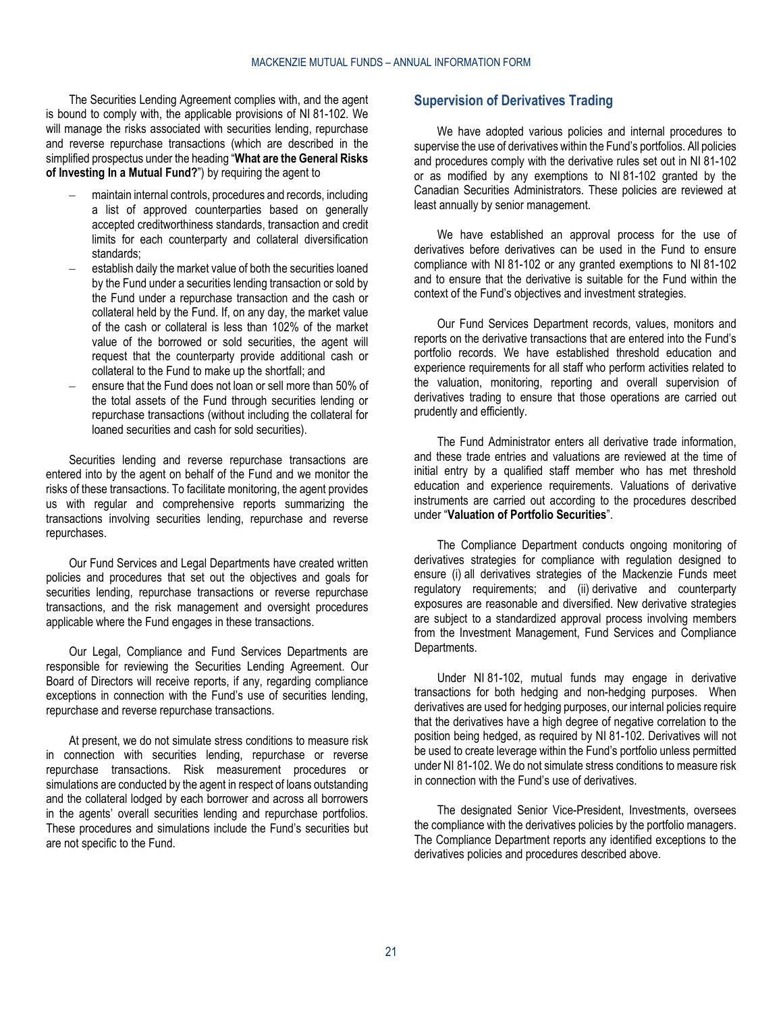The Securities Lending Agreement complies with, and the agent is bound to comply with, the applicable provisions of NI 81-102. We will manage the risks associated with securities lending, repurchase and reverse repurchase transactions (which are described in the simplified prospectus under the heading "**What are the General Risks of Investing In a Mutual Fund?**") by requiring the agent to

- maintain internal controls, procedures and records, including a list of approved counterparties based on generally accepted creditworthiness standards, transaction and credit limits for each counterparty and collateral diversification standards;
- establish daily the market value of both the securities loaned by the Fund under a securities lending transaction or sold by the Fund under a repurchase transaction and the cash or collateral held by the Fund. If, on any day, the market value of the cash or collateral is less than 102% of the market value of the borrowed or sold securities, the agent will request that the counterparty provide additional cash or collateral to the Fund to make up the shortfall; and
- ensure that the Fund does not loan or sell more than 50% of the total assets of the Fund through securities lending or repurchase transactions (without including the collateral for loaned securities and cash for sold securities).

Securities lending and reverse repurchase transactions are entered into by the agent on behalf of the Fund and we monitor the risks of these transactions. To facilitate monitoring, the agent provides us with regular and comprehensive reports summarizing the transactions involving securities lending, repurchase and reverse repurchases.

Our Fund Services and Legal Departments have created written policies and procedures that set out the objectives and goals for securities lending, repurchase transactions or reverse repurchase transactions, and the risk management and oversight procedures applicable where the Fund engages in these transactions.

Our Legal, Compliance and Fund Services Departments are responsible for reviewing the Securities Lending Agreement. Our Board of Directors will receive reports, if any, regarding compliance exceptions in connection with the Fund's use of securities lending, repurchase and reverse repurchase transactions.

At present, we do not simulate stress conditions to measure risk in connection with securities lending, repurchase or reverse repurchase transactions. Risk measurement procedures or simulations are conducted by the agent in respect of loans outstanding and the collateral lodged by each borrower and across all borrowers in the agents' overall securities lending and repurchase portfolios. These procedures and simulations include the Fund's securities but are not specific to the Fund.

# <span id="page-20-0"></span>**Supervision of Derivatives Trading**

We have adopted various policies and internal procedures to supervise the use of derivatives within the Fund's portfolios. All policies and procedures comply with the derivative rules set out in NI 81-102 or as modified by any exemptions to NI 81-102 granted by the Canadian Securities Administrators. These policies are reviewed at least annually by senior management.

We have established an approval process for the use of derivatives before derivatives can be used in the Fund to ensure compliance with NI 81-102 or any granted exemptions to NI 81-102 and to ensure that the derivative is suitable for the Fund within the context of the Fund's objectives and investment strategies.

Our Fund Services Department records, values, monitors and reports on the derivative transactions that are entered into the Fund's portfolio records. We have established threshold education and experience requirements for all staff who perform activities related to the valuation, monitoring, reporting and overall supervision of derivatives trading to ensure that those operations are carried out prudently and efficiently.

The Fund Administrator enters all derivative trade information, and these trade entries and valuations are reviewed at the time of initial entry by a qualified staff member who has met threshold education and experience requirements. Valuations of derivative instruments are carried out according to the procedures described under "**[Valuation of Portfolio Securities](#page-5-0)**".

The Compliance Department conducts ongoing monitoring of derivatives strategies for compliance with regulation designed to ensure (i) all derivatives strategies of the Mackenzie Funds meet regulatory requirements; and (ii) derivative and counterparty exposures are reasonable and diversified. New derivative strategies are subject to a standardized approval process involving members from the Investment Management, Fund Services and Compliance Departments.

Under NI 81-102, mutual funds may engage in derivative transactions for both hedging and non-hedging purposes. When derivatives are used for hedging purposes, our internal policies require that the derivatives have a high degree of negative correlation to the position being hedged, as required by NI 81-102. Derivatives will not be used to create leverage within the Fund's portfolio unless permitted under NI 81-102. We do not simulate stress conditions to measure risk in connection with the Fund's use of derivatives.

The designated Senior Vice-President, Investments, oversees the compliance with the derivatives policies by the portfolio managers. The Compliance Department reports any identified exceptions to the derivatives policies and procedures described above.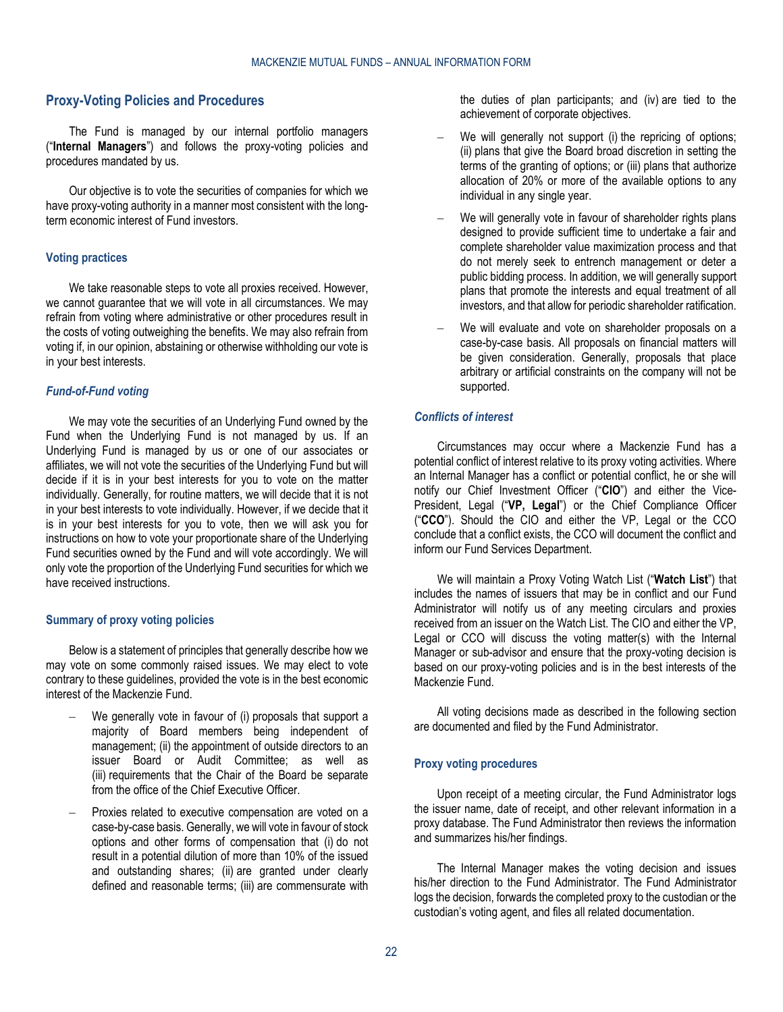# <span id="page-21-0"></span>**Proxy-Voting Policies and Procedures**

The Fund is managed by our internal portfolio managers ("**Internal Managers**") and follows the proxy-voting policies and procedures mandated by us.

Our objective is to vote the securities of companies for which we have proxy-voting authority in a manner most consistent with the longterm economic interest of Fund investors.

#### **Voting practices**

We take reasonable steps to vote all proxies received. However, we cannot guarantee that we will vote in all circumstances. We may refrain from voting where administrative or other procedures result in the costs of voting outweighing the benefits. We may also refrain from voting if, in our opinion, abstaining or otherwise withholding our vote is in your best interests.

#### *Fund-of-Fund voting*

We may vote the securities of an Underlying Fund owned by the Fund when the Underlying Fund is not managed by us. If an Underlying Fund is managed by us or one of our associates or affiliates, we will not vote the securities of the Underlying Fund but will decide if it is in your best interests for you to vote on the matter individually. Generally, for routine matters, we will decide that it is not in your best interests to vote individually. However, if we decide that it is in your best interests for you to vote, then we will ask you for instructions on how to vote your proportionate share of the Underlying Fund securities owned by the Fund and will vote accordingly. We will only vote the proportion of the Underlying Fund securities for which we have received instructions.

#### **Summary of proxy voting policies**

Below is a statement of principles that generally describe how we may vote on some commonly raised issues. We may elect to vote contrary to these guidelines, provided the vote is in the best economic interest of the Mackenzie Fund.

- We generally vote in favour of (i) proposals that support a majority of Board members being independent of management; (ii) the appointment of outside directors to an issuer Board or Audit Committee; as well as (iii) requirements that the Chair of the Board be separate from the office of the Chief Executive Officer.
- Proxies related to executive compensation are voted on a case-by-case basis. Generally, we will vote in favour of stock options and other forms of compensation that (i) do not result in a potential dilution of more than 10% of the issued and outstanding shares; (ii) are granted under clearly defined and reasonable terms; (iii) are commensurate with

the duties of plan participants; and (iv) are tied to the achievement of corporate objectives.

- We will generally not support (i) the repricing of options; (ii) plans that give the Board broad discretion in setting the terms of the granting of options; or (iii) plans that authorize allocation of 20% or more of the available options to any individual in any single year.
- We will generally vote in favour of shareholder rights plans designed to provide sufficient time to undertake a fair and complete shareholder value maximization process and that do not merely seek to entrench management or deter a public bidding process. In addition, we will generally support plans that promote the interests and equal treatment of all investors, and that allow for periodic shareholder ratification.
- We will evaluate and vote on shareholder proposals on a case-by-case basis. All proposals on financial matters will be given consideration. Generally, proposals that place arbitrary or artificial constraints on the company will not be supported.

# *Conflicts of interest*

Circumstances may occur where a Mackenzie Fund has a potential conflict of interest relative to its proxy voting activities. Where an Internal Manager has a conflict or potential conflict, he or she will notify our Chief Investment Officer ("**CIO**") and either the Vice-President, Legal ("**VP, Legal**") or the Chief Compliance Officer ("**CCO**"). Should the CIO and either the VP, Legal or the CCO conclude that a conflict exists, the CCO will document the conflict and inform our Fund Services Department.

We will maintain a Proxy Voting Watch List ("**Watch List**") that includes the names of issuers that may be in conflict and our Fund Administrator will notify us of any meeting circulars and proxies received from an issuer on the Watch List. The CIO and either the VP, Legal or CCO will discuss the voting matter(s) with the Internal Manager or sub-advisor and ensure that the proxy-voting decision is based on our proxy-voting policies and is in the best interests of the Mackenzie Fund.

All voting decisions made as described in the following section are documented and filed by the Fund Administrator.

#### **Proxy voting procedures**

Upon receipt of a meeting circular, the Fund Administrator logs the issuer name, date of receipt, and other relevant information in a proxy database. The Fund Administrator then reviews the information and summarizes his/her findings.

The Internal Manager makes the voting decision and issues his/her direction to the Fund Administrator. The Fund Administrator logs the decision, forwards the completed proxy to the custodian or the custodian's voting agent, and files all related documentation.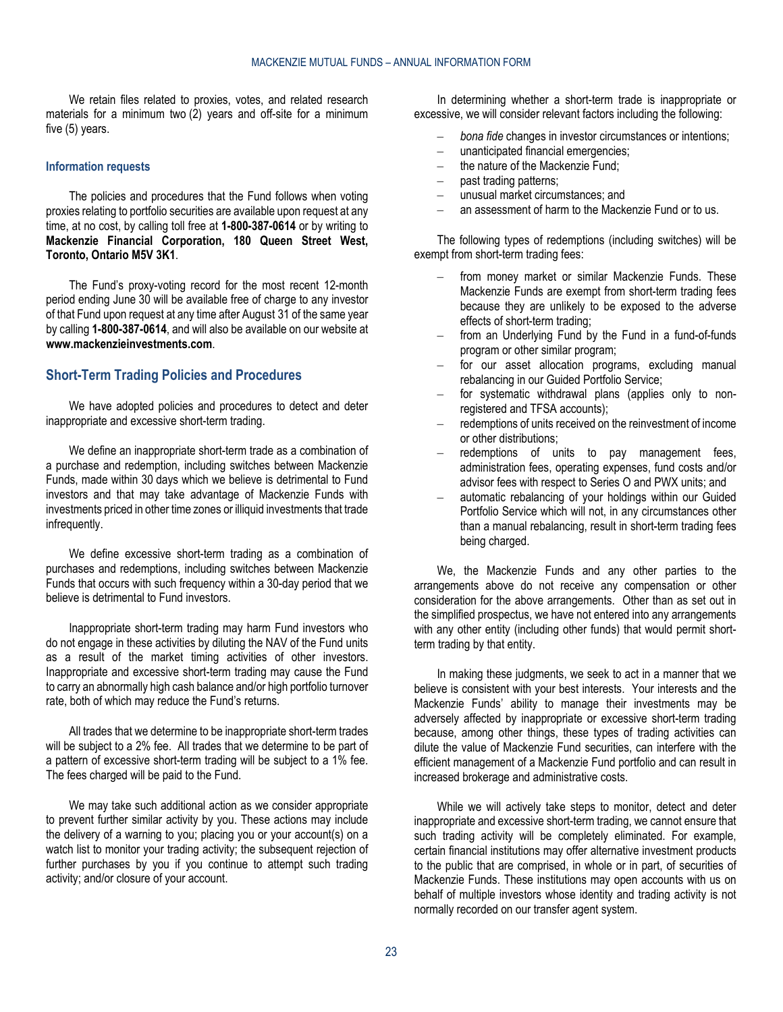We retain files related to proxies, votes, and related research materials for a minimum two (2) years and off-site for a minimum five (5) years.

#### **Information requests**

The policies and procedures that the Fund follows when voting proxies relating to portfolio securities are available upon request at any time, at no cost, by calling toll free at **1-800-387-0614** or by writing to **Mackenzie Financial Corporation, 180 Queen Street West, Toronto, Ontario M5V 3K1**.

The Fund's proxy-voting record for the most recent 12-month period ending June 30 will be available free of charge to any investor of that Fund upon request at any time after August 31 of the same year by calling **1-800-387-0614**, and will also be available on our website at **[www.mackenzieinvestments.com](http://www.mackenzieinvestments.com/)**.

# <span id="page-22-0"></span>**Short-Term Trading Policies and Procedures**

We have adopted policies and procedures to detect and deter inappropriate and excessive short-term trading.

We define an inappropriate short-term trade as a combination of a purchase and redemption, including switches between Mackenzie Funds, made within 30 days which we believe is detrimental to Fund investors and that may take advantage of Mackenzie Funds with investments priced in other time zones or illiquid investments that trade infrequently.

We define excessive short-term trading as a combination of purchases and redemptions, including switches between Mackenzie Funds that occurs with such frequency within a 30-day period that we believe is detrimental to Fund investors.

Inappropriate short-term trading may harm Fund investors who do not engage in these activities by diluting the NAV of the Fund units as a result of the market timing activities of other investors. Inappropriate and excessive short-term trading may cause the Fund to carry an abnormally high cash balance and/or high portfolio turnover rate, both of which may reduce the Fund's returns.

All trades that we determine to be inappropriate short-term trades will be subject to a 2% fee. All trades that we determine to be part of a pattern of excessive short-term trading will be subject to a 1% fee. The fees charged will be paid to the Fund.

We may take such additional action as we consider appropriate to prevent further similar activity by you. These actions may include the delivery of a warning to you; placing you or your account(s) on a watch list to monitor your trading activity; the subsequent rejection of further purchases by you if you continue to attempt such trading activity; and/or closure of your account.

In determining whether a short-term trade is inappropriate or excessive, we will consider relevant factors including the following:

- *bona fide* changes in investor circumstances or intentions;
- unanticipated financial emergencies;
- the nature of the Mackenzie Fund:
- past trading patterns;
- unusual market circumstances; and
- an assessment of harm to the Mackenzie Fund or to us.

The following types of redemptions (including switches) will be exempt from short-term trading fees:

- from money market or similar Mackenzie Funds. These Mackenzie Funds are exempt from short-term trading fees because they are unlikely to be exposed to the adverse effects of short-term trading;
- from an Underlying Fund by the Fund in a fund-of-funds program or other similar program;
- for our asset allocation programs, excluding manual rebalancing in our Guided Portfolio Service;
- for systematic withdrawal plans (applies only to nonregistered and TFSA accounts);
- redemptions of units received on the reinvestment of income or other distributions;
- redemptions of units to pay management fees, administration fees, operating expenses, fund costs and/or advisor fees with respect to Series O and PWX units; and
- automatic rebalancing of your holdings within our Guided Portfolio Service which will not, in any circumstances other than a manual rebalancing, result in short-term trading fees being charged.

We, the Mackenzie Funds and any other parties to the arrangements above do not receive any compensation or other consideration for the above arrangements. Other than as set out in the simplified prospectus, we have not entered into any arrangements with any other entity (including other funds) that would permit shortterm trading by that entity.

In making these judgments, we seek to act in a manner that we believe is consistent with your best interests. Your interests and the Mackenzie Funds' ability to manage their investments may be adversely affected by inappropriate or excessive short-term trading because, among other things, these types of trading activities can dilute the value of Mackenzie Fund securities, can interfere with the efficient management of a Mackenzie Fund portfolio and can result in increased brokerage and administrative costs.

While we will actively take steps to monitor, detect and deter inappropriate and excessive short-term trading, we cannot ensure that such trading activity will be completely eliminated. For example, certain financial institutions may offer alternative investment products to the public that are comprised, in whole or in part, of securities of Mackenzie Funds. These institutions may open accounts with us on behalf of multiple investors whose identity and trading activity is not normally recorded on our transfer agent system.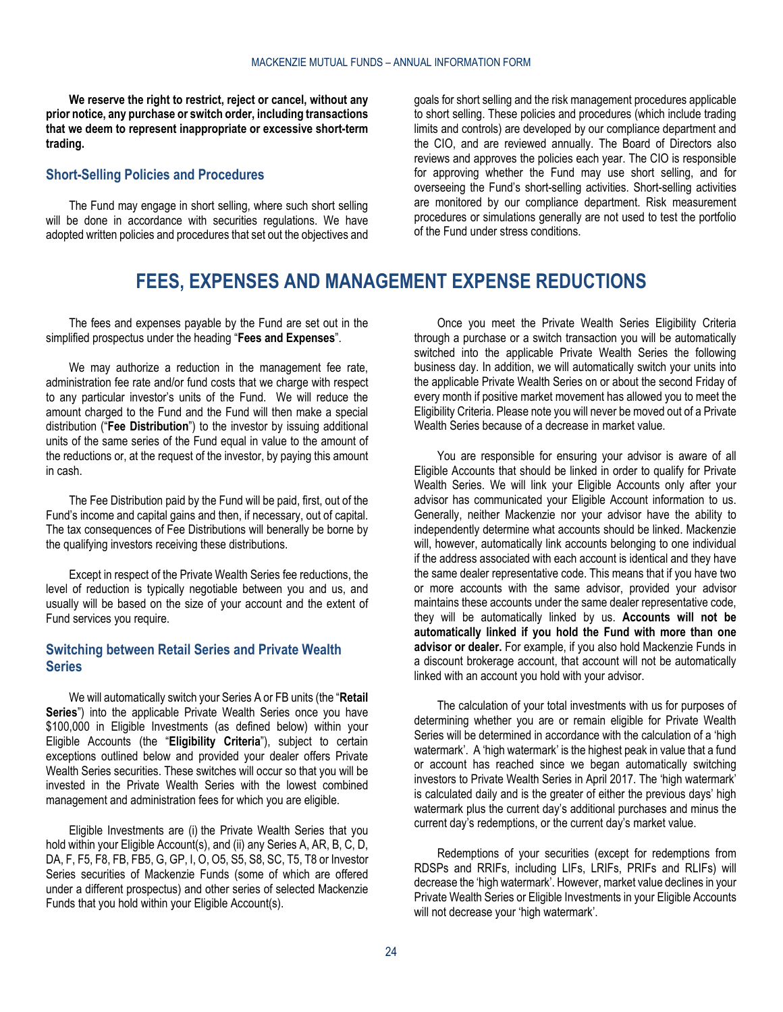**We reserve the right to restrict, reject or cancel, without any prior notice, any purchase or switch order, including transactions that we deem to represent inappropriate or excessive short-term trading.**

# <span id="page-23-0"></span>**Short-Selling Policies and Procedures**

<span id="page-23-1"></span>The Fund may engage in short selling, where such short selling will be done in accordance with securities regulations. We have adopted written policies and procedures that set out the objectives and goals for short selling and the risk management procedures applicable to short selling. These policies and procedures (which include trading limits and controls) are developed by our compliance department and the CIO, and are reviewed annually. The Board of Directors also reviews and approves the policies each year. The CIO is responsible for approving whether the Fund may use short selling, and for overseeing the Fund's short-selling activities. Short-selling activities are monitored by our compliance department. Risk measurement procedures or simulations generally are not used to test the portfolio of the Fund under stress conditions.

# **FEES, EXPENSES AND MANAGEMENT EXPENSE REDUCTIONS**

The fees and expenses payable by the Fund are set out in the simplified prospectus under the heading "**Fees and Expenses**".

We may authorize a reduction in the management fee rate, administration fee rate and/or fund costs that we charge with respect to any particular investor's units of the Fund. We will reduce the amount charged to the Fund and the Fund will then make a special distribution ("**Fee Distribution**") to the investor by issuing additional units of the same series of the Fund equal in value to the amount of the reductions or, at the request of the investor, by paying this amount in cash.

The Fee Distribution paid by the Fund will be paid, first, out of the Fund's income and capital gains and then, if necessary, out of capital. The tax consequences of Fee Distributions will benerally be borne by the qualifying investors receiving these distributions.

Except in respect of the Private Wealth Series fee reductions, the level of reduction is typically negotiable between you and us, and usually will be based on the size of your account and the extent of Fund services you require.

# <span id="page-23-2"></span>**Switching between Retail Series and Private Wealth Series**

We will automatically switch your Series A or FB units (the "**Retail Series**") into the applicable Private Wealth Series once you have \$100,000 in Eligible Investments (as defined below) within your Eligible Accounts (the "**Eligibility Criteria**"), subject to certain exceptions outlined below and provided your dealer offers Private Wealth Series securities. These switches will occur so that you will be invested in the Private Wealth Series with the lowest combined management and administration fees for which you are eligible.

Eligible Investments are (i) the Private Wealth Series that you hold within your Eligible Account(s), and (ii) any Series A, AR, B, C, D, DA, F, F5, F8, FB, FB5, G, GP, I, O, O5, S5, S8, SC, T5, T8 or Investor Series securities of Mackenzie Funds (some of which are offered under a different prospectus) and other series of selected Mackenzie Funds that you hold within your Eligible Account(s).

Once you meet the Private Wealth Series Eligibility Criteria through a purchase or a switch transaction you will be automatically switched into the applicable Private Wealth Series the following business day. In addition, we will automatically switch your units into the applicable Private Wealth Series on or about the second Friday of every month if positive market movement has allowed you to meet the Eligibility Criteria. Please note you will never be moved out of a Private Wealth Series because of a decrease in market value.

You are responsible for ensuring your advisor is aware of all Eligible Accounts that should be linked in order to qualify for Private Wealth Series. We will link your Eligible Accounts only after your advisor has communicated your Eligible Account information to us. Generally, neither Mackenzie nor your advisor have the ability to independently determine what accounts should be linked. Mackenzie will, however, automatically link accounts belonging to one individual if the address associated with each account is identical and they have the same dealer representative code. This means that if you have two or more accounts with the same advisor, provided your advisor maintains these accounts under the same dealer representative code, they will be automatically linked by us. **Accounts will not be automatically linked if you hold the Fund with more than one advisor or dealer.** For example, if you also hold Mackenzie Funds in a discount brokerage account, that account will not be automatically linked with an account you hold with your advisor.

The calculation of your total investments with us for purposes of determining whether you are or remain eligible for Private Wealth Series will be determined in accordance with the calculation of a 'high watermark'. A 'high watermark' is the highest peak in value that a fund or account has reached since we began automatically switching investors to Private Wealth Series in April 2017. The 'high watermark' is calculated daily and is the greater of either the previous days' high watermark plus the current day's additional purchases and minus the current day's redemptions, or the current day's market value.

Redemptions of your securities (except for redemptions from RDSPs and RRIFs, including LIFs, LRIFs, PRIFs and RLIFs) will decrease the 'high watermark'. However, market value declines in your Private Wealth Series or Eligible Investments in your Eligible Accounts will not decrease your 'high watermark'.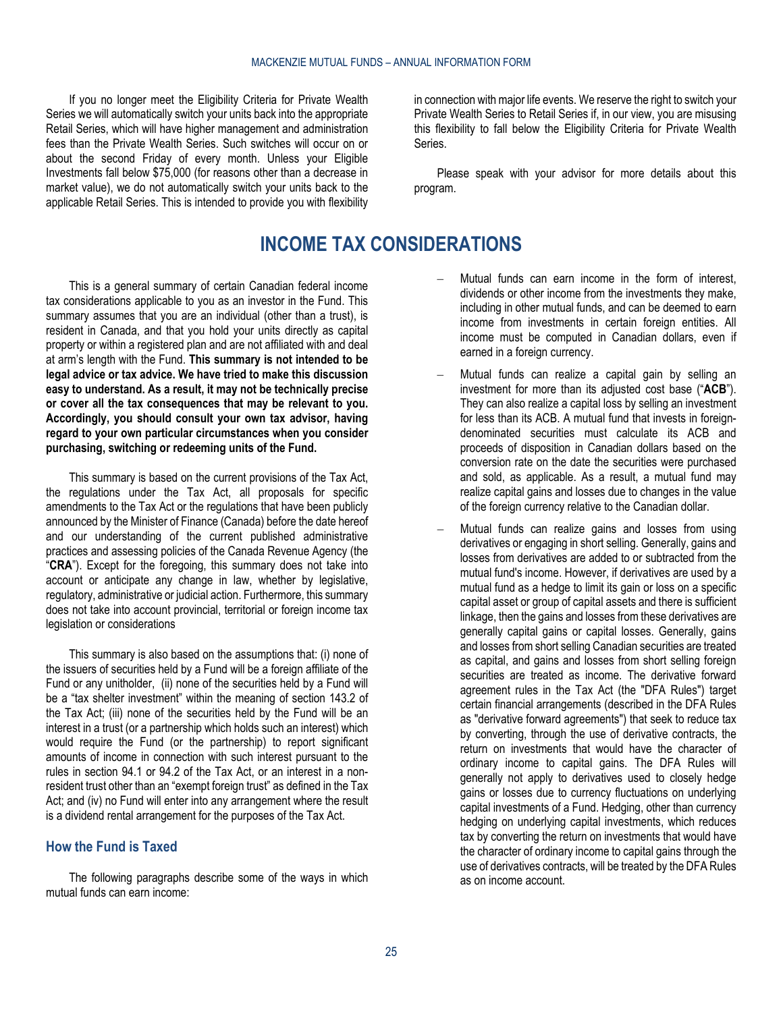If you no longer meet the Eligibility Criteria for Private Wealth Series we will automatically switch your units back into the appropriate Retail Series, which will have higher management and administration fees than the Private Wealth Series. Such switches will occur on or about the second Friday of every month. Unless your Eligible Investments fall below \$75,000 (for reasons other than a decrease in market value), we do not automatically switch your units back to the applicable Retail Series. This is intended to provide you with flexibility

in connection with major life events. We reserve the right to switch your Private Wealth Series to Retail Series if, in our view, you are misusing this flexibility to fall below the Eligibility Criteria for Private Wealth Series.

Please speak with your advisor for more details about this program.

# **INCOME TAX CONSIDERATIONS**

<span id="page-24-0"></span>This is a general summary of certain Canadian federal income tax considerations applicable to you as an investor in the Fund. This summary assumes that you are an individual (other than a trust), is resident in Canada, and that you hold your units directly as capital property or within a registered plan and are not affiliated with and deal at arm's length with the Fund. **This summary is not intended to be legal advice or tax advice. We have tried to make this discussion easy to understand. As a result, it may not be technically precise or cover all the tax consequences that may be relevant to you. Accordingly, you should consult your own tax advisor, having regard to your own particular circumstances when you consider purchasing, switching or redeeming units of the Fund.**

This summary is based on the current provisions of the Tax Act, the regulations under the Tax Act, all proposals for specific amendments to the Tax Act or the regulations that have been publicly announced by the Minister of Finance (Canada) before the date hereof and our understanding of the current published administrative practices and assessing policies of the Canada Revenue Agency (the "**CRA**"). Except for the foregoing, this summary does not take into account or anticipate any change in law, whether by legislative, regulatory, administrative or judicial action. Furthermore, this summary does not take into account provincial, territorial or foreign income tax legislation or considerations

This summary is also based on the assumptions that: (i) none of the issuers of securities held by a Fund will be a foreign affiliate of the Fund or any unitholder, (ii) none of the securities held by a Fund will be a "tax shelter investment" within the meaning of section 143.2 of the Tax Act; (iii) none of the securities held by the Fund will be an interest in a trust (or a partnership which holds such an interest) which would require the Fund (or the partnership) to report significant amounts of income in connection with such interest pursuant to the rules in section 94.1 or 94.2 of the Tax Act, or an interest in a nonresident trust other than an "exempt foreign trust" as defined in the Tax Act; and (iv) no Fund will enter into any arrangement where the result is a dividend rental arrangement for the purposes of the Tax Act.

#### <span id="page-24-1"></span>**How the Fund is Taxed**

The following paragraphs describe some of the ways in which mutual funds can earn income:

- Mutual funds can earn income in the form of interest, dividends or other income from the investments they make, including in other mutual funds, and can be deemed to earn income from investments in certain foreign entities. All income must be computed in Canadian dollars, even if earned in a foreign currency.
- Mutual funds can realize a capital gain by selling an investment for more than its adjusted cost base ("**ACB**"). They can also realize a capital loss by selling an investment for less than its ACB. A mutual fund that invests in foreigndenominated securities must calculate its ACB and proceeds of disposition in Canadian dollars based on the conversion rate on the date the securities were purchased and sold, as applicable. As a result, a mutual fund may realize capital gains and losses due to changes in the value of the foreign currency relative to the Canadian dollar.
- Mutual funds can realize gains and losses from using derivatives or engaging in short selling. Generally, gains and losses from derivatives are added to or subtracted from the mutual fund's income. However, if derivatives are used by a mutual fund as a hedge to limit its gain or loss on a specific capital asset or group of capital assets and there is sufficient linkage, then the gains and losses from these derivatives are generally capital gains or capital losses. Generally, gains and losses from short selling Canadian securities are treated as capital, and gains and losses from short selling foreign securities are treated as income. The derivative forward agreement rules in the Tax Act (the "DFA Rules") target certain financial arrangements (described in the DFA Rules as "derivative forward agreements") that seek to reduce tax by converting, through the use of derivative contracts, the return on investments that would have the character of ordinary income to capital gains. The DFA Rules will generally not apply to derivatives used to closely hedge gains or losses due to currency fluctuations on underlying capital investments of a Fund. Hedging, other than currency hedging on underlying capital investments, which reduces tax by converting the return on investments that would have the character of ordinary income to capital gains through the use of derivatives contracts, will be treated by the DFA Rules as on income account.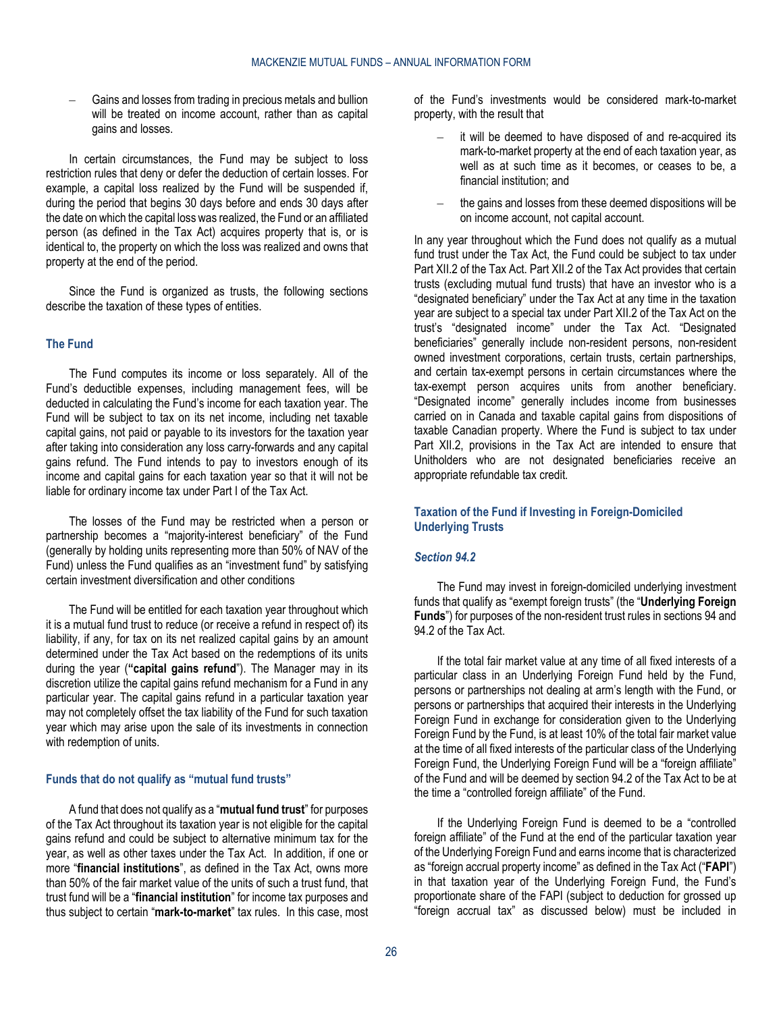– Gains and losses from trading in precious metals and bullion will be treated on income account, rather than as capital gains and losses.

In certain circumstances, the Fund may be subject to loss restriction rules that deny or defer the deduction of certain losses. For example, a capital loss realized by the Fund will be suspended if, during the period that begins 30 days before and ends 30 days after the date on which the capital loss was realized, the Fund or an affiliated person (as defined in the Tax Act) acquires property that is, or is identical to, the property on which the loss was realized and owns that property at the end of the period.

Since the Fund is organized as trusts, the following sections describe the taxation of these types of entities.

#### **The Fund**

The Fund computes its income or loss separately. All of the Fund's deductible expenses, including management fees, will be deducted in calculating the Fund's income for each taxation year. The Fund will be subject to tax on its net income, including net taxable capital gains, not paid or payable to its investors for the taxation year after taking into consideration any loss carry-forwards and any capital gains refund. The Fund intends to pay to investors enough of its income and capital gains for each taxation year so that it will not be liable for ordinary income tax under Part I of the Tax Act.

The losses of the Fund may be restricted when a person or partnership becomes a "majority-interest beneficiary" of the Fund (generally by holding units representing more than 50% of NAV of the Fund) unless the Fund qualifies as an "investment fund" by satisfying certain investment diversification and other conditions

The Fund will be entitled for each taxation year throughout which it is a mutual fund trust to reduce (or receive a refund in respect of) its liability, if any, for tax on its net realized capital gains by an amount determined under the Tax Act based on the redemptions of its units during the year (**"capital gains refund**"). The Manager may in its discretion utilize the capital gains refund mechanism for a Fund in any particular year. The capital gains refund in a particular taxation year may not completely offset the tax liability of the Fund for such taxation year which may arise upon the sale of its investments in connection with redemption of units.

#### **Funds that do not qualify as "mutual fund trusts"**

A fund that does not qualify as a "**mutual fund trust**" for purposes of the Tax Act throughout its taxation year is not eligible for the capital gains refund and could be subject to alternative minimum tax for the year, as well as other taxes under the Tax Act. In addition, if one or more "**financial institutions**", as defined in the Tax Act, owns more than 50% of the fair market value of the units of such a trust fund, that trust fund will be a "**financial institution**" for income tax purposes and thus subject to certain "**mark-to-market**" tax rules. In this case, most

of the Fund's investments would be considered mark-to-market property, with the result that

- it will be deemed to have disposed of and re-acquired its mark-to-market property at the end of each taxation year, as well as at such time as it becomes, or ceases to be, a financial institution; and
- the gains and losses from these deemed dispositions will be on income account, not capital account.

In any year throughout which the Fund does not qualify as a mutual fund trust under the Tax Act, the Fund could be subject to tax under Part XII.2 of the Tax Act. Part XII.2 of the Tax Act provides that certain trusts (excluding mutual fund trusts) that have an investor who is a "designated beneficiary" under the Tax Act at any time in the taxation year are subject to a special tax under Part XII.2 of the Tax Act on the trust's "designated income" under the Tax Act. "Designated beneficiaries" generally include non-resident persons, non-resident owned investment corporations, certain trusts, certain partnerships, and certain tax-exempt persons in certain circumstances where the tax-exempt person acquires units from another beneficiary. "Designated income" generally includes income from businesses carried on in Canada and taxable capital gains from dispositions of taxable Canadian property. Where the Fund is subject to tax under Part XII.2, provisions in the Tax Act are intended to ensure that Unitholders who are not designated beneficiaries receive an appropriate refundable tax credit.

### **Taxation of the Fund if Investing in Foreign-Domiciled Underlying Trusts**

#### *Section 94.2*

The Fund may invest in foreign-domiciled underlying investment funds that qualify as "exempt foreign trusts" (the "**Underlying Foreign Funds**") for purposes of the non-resident trust rules in sections 94 and 94.2 of the Tax Act.

If the total fair market value at any time of all fixed interests of a particular class in an Underlying Foreign Fund held by the Fund, persons or partnerships not dealing at arm's length with the Fund, or persons or partnerships that acquired their interests in the Underlying Foreign Fund in exchange for consideration given to the Underlying Foreign Fund by the Fund, is at least 10% of the total fair market value at the time of all fixed interests of the particular class of the Underlying Foreign Fund, the Underlying Foreign Fund will be a "foreign affiliate" of the Fund and will be deemed by section 94.2 of the Tax Act to be at the time a "controlled foreign affiliate" of the Fund.

If the Underlying Foreign Fund is deemed to be a "controlled foreign affiliate" of the Fund at the end of the particular taxation year of the Underlying Foreign Fund and earns income that is characterized as "foreign accrual property income" as defined in the Tax Act ("**FAPI**") in that taxation year of the Underlying Foreign Fund, the Fund's proportionate share of the FAPI (subject to deduction for grossed up "foreign accrual tax" as discussed below) must be included in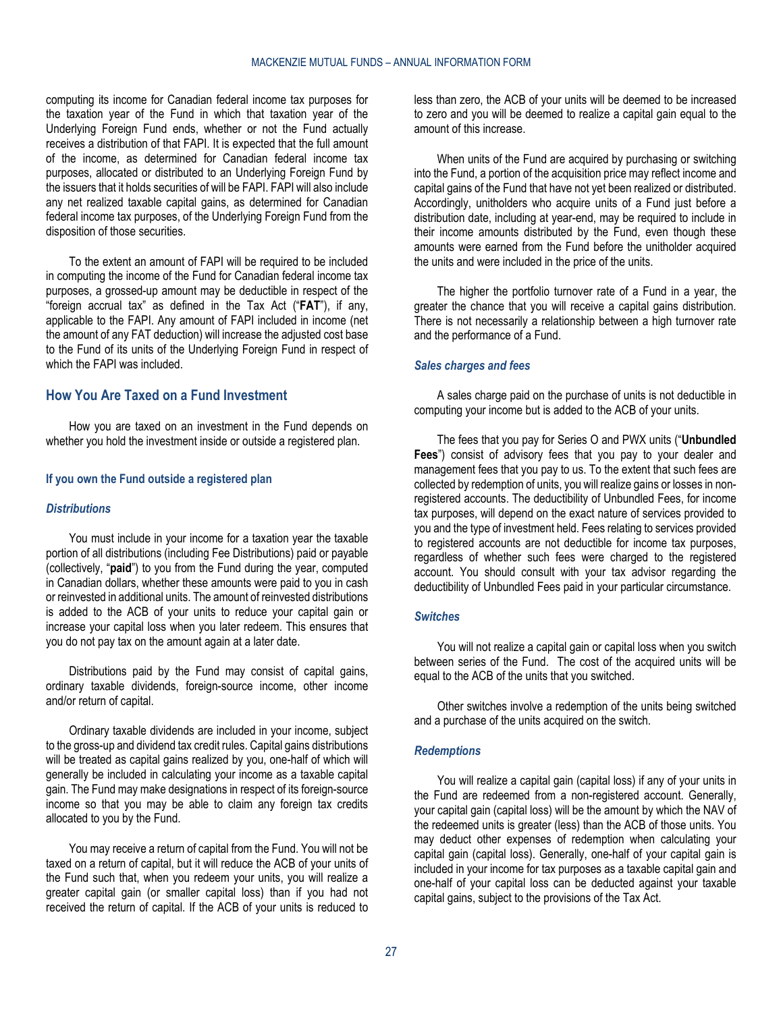computing its income for Canadian federal income tax purposes for the taxation year of the Fund in which that taxation year of the Underlying Foreign Fund ends, whether or not the Fund actually receives a distribution of that FAPI. It is expected that the full amount of the income, as determined for Canadian federal income tax purposes, allocated or distributed to an Underlying Foreign Fund by the issuers that it holds securities of will be FAPI. FAPI will also include any net realized taxable capital gains, as determined for Canadian federal income tax purposes, of the Underlying Foreign Fund from the disposition of those securities.

To the extent an amount of FAPI will be required to be included in computing the income of the Fund for Canadian federal income tax purposes, a grossed-up amount may be deductible in respect of the "foreign accrual tax" as defined in the Tax Act ("**FAT**"), if any, applicable to the FAPI. Any amount of FAPI included in income (net the amount of any FAT deduction) will increase the adjusted cost base to the Fund of its units of the Underlying Foreign Fund in respect of which the FAPI was included.

# <span id="page-26-0"></span>**How You Are Taxed on a Fund Investment**

How you are taxed on an investment in the Fund depends on whether you hold the investment inside or outside a registered plan.

#### **If you own the Fund outside a registered plan**

#### *Distributions*

You must include in your income for a taxation year the taxable portion of all distributions (including Fee Distributions) paid or payable (collectively, "**paid**") to you from the Fund during the year, computed in Canadian dollars, whether these amounts were paid to you in cash or reinvested in additional units. The amount of reinvested distributions is added to the ACB of your units to reduce your capital gain or increase your capital loss when you later redeem. This ensures that you do not pay tax on the amount again at a later date.

Distributions paid by the Fund may consist of capital gains, ordinary taxable dividends, foreign-source income, other income and/or return of capital.

Ordinary taxable dividends are included in your income, subject to the gross-up and dividend tax credit rules. Capital gains distributions will be treated as capital gains realized by you, one-half of which will generally be included in calculating your income as a taxable capital gain. The Fund may make designations in respect of its foreign-source income so that you may be able to claim any foreign tax credits allocated to you by the Fund.

You may receive a return of capital from the Fund. You will not be taxed on a return of capital, but it will reduce the ACB of your units of the Fund such that, when you redeem your units, you will realize a greater capital gain (or smaller capital loss) than if you had not received the return of capital. If the ACB of your units is reduced to

less than zero, the ACB of your units will be deemed to be increased to zero and you will be deemed to realize a capital gain equal to the amount of this increase.

When units of the Fund are acquired by purchasing or switching into the Fund, a portion of the acquisition price may reflect income and capital gains of the Fund that have not yet been realized or distributed. Accordingly, unitholders who acquire units of a Fund just before a distribution date, including at year-end, may be required to include in their income amounts distributed by the Fund, even though these amounts were earned from the Fund before the unitholder acquired the units and were included in the price of the units.

The higher the portfolio turnover rate of a Fund in a year, the greater the chance that you will receive a capital gains distribution. There is not necessarily a relationship between a high turnover rate and the performance of a Fund.

#### *Sales charges and fees*

A sales charge paid on the purchase of units is not deductible in computing your income but is added to the ACB of your units.

The fees that you pay for Series O and PWX units ("**Unbundled Fees**") consist of advisory fees that you pay to your dealer and management fees that you pay to us. To the extent that such fees are collected by redemption of units, you will realize gains or losses in nonregistered accounts. The deductibility of Unbundled Fees, for income tax purposes, will depend on the exact nature of services provided to you and the type of investment held. Fees relating to services provided to registered accounts are not deductible for income tax purposes, regardless of whether such fees were charged to the registered account. You should consult with your tax advisor regarding the deductibility of Unbundled Fees paid in your particular circumstance.

#### *Switches*

You will not realize a capital gain or capital loss when you switch between series of the Fund. The cost of the acquired units will be equal to the ACB of the units that you switched.

Other switches involve a redemption of the units being switched and a purchase of the units acquired on the switch.

#### *Redemptions*

You will realize a capital gain (capital loss) if any of your units in the Fund are redeemed from a non-registered account. Generally, your capital gain (capital loss) will be the amount by which the NAV of the redeemed units is greater (less) than the ACB of those units. You may deduct other expenses of redemption when calculating your capital gain (capital loss). Generally, one-half of your capital gain is included in your income for tax purposes as a taxable capital gain and one-half of your capital loss can be deducted against your taxable capital gains, subject to the provisions of the Tax Act.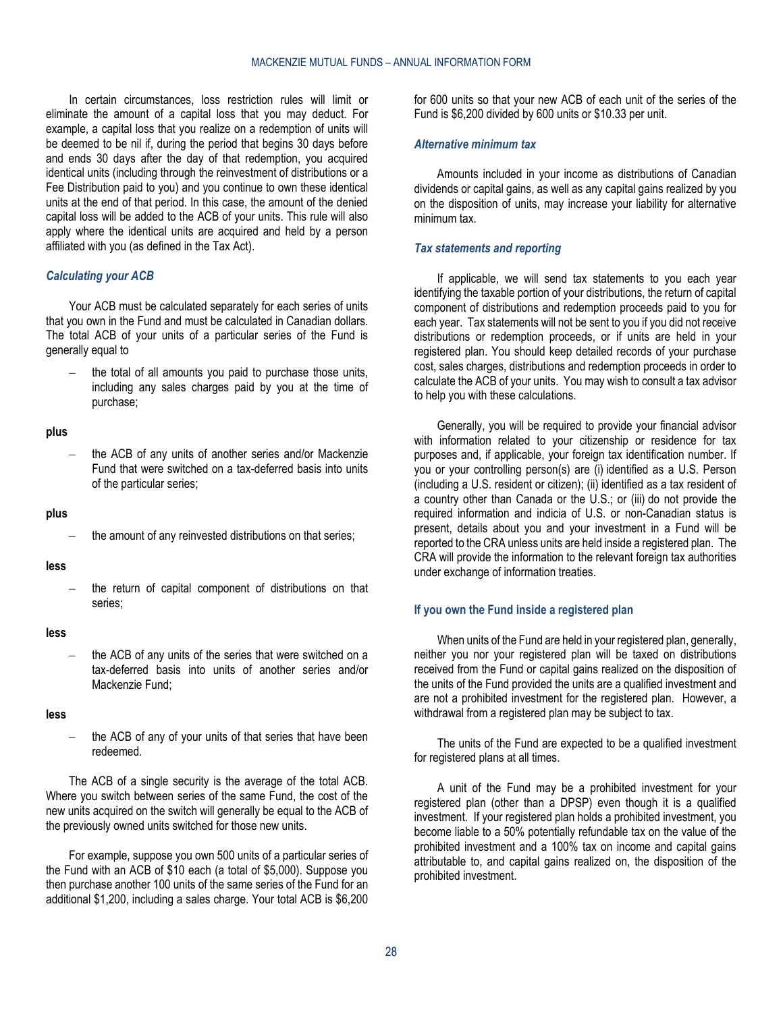In certain circumstances, loss restriction rules will limit or eliminate the amount of a capital loss that you may deduct. For example, a capital loss that you realize on a redemption of units will be deemed to be nil if, during the period that begins 30 days before and ends 30 days after the day of that redemption, you acquired identical units (including through the reinvestment of distributions or a Fee Distribution paid to you) and you continue to own these identical units at the end of that period. In this case, the amount of the denied capital loss will be added to the ACB of your units. This rule will also apply where the identical units are acquired and held by a person affiliated with you (as defined in the Tax Act).

#### *Calculating your ACB*

Your ACB must be calculated separately for each series of units that you own in the Fund and must be calculated in Canadian dollars. The total ACB of your units of a particular series of the Fund is generally equal to

the total of all amounts you paid to purchase those units, including any sales charges paid by you at the time of purchase;

#### **plus**

– the ACB of any units of another series and/or Mackenzie Fund that were switched on a tax-deferred basis into units of the particular series;

#### **plus**

**less**

– the return of capital component of distributions on that series;

#### **less**

the ACB of any units of the series that were switched on a tax-deferred basis into units of another series and/or Mackenzie Fund;

#### **less**

the ACB of any of your units of that series that have been redeemed.

The ACB of a single security is the average of the total ACB. Where you switch between series of the same Fund, the cost of the new units acquired on the switch will generally be equal to the ACB of the previously owned units switched for those new units.

For example, suppose you own 500 units of a particular series of the Fund with an ACB of \$10 each (a total of \$5,000). Suppose you then purchase another 100 units of the same series of the Fund for an additional \$1,200, including a sales charge. Your total ACB is \$6,200

for 600 units so that your new ACB of each unit of the series of the Fund is \$6,200 divided by 600 units or \$10.33 per unit.

#### *Alternative minimum tax*

Amounts included in your income as distributions of Canadian dividends or capital gains, as well as any capital gains realized by you on the disposition of units, may increase your liability for alternative minimum tax.

#### *Tax statements and reporting*

If applicable, we will send tax statements to you each year identifying the taxable portion of your distributions, the return of capital component of distributions and redemption proceeds paid to you for each year. Tax statements will not be sent to you if you did not receive distributions or redemption proceeds, or if units are held in your registered plan. You should keep detailed records of your purchase cost, sales charges, distributions and redemption proceeds in order to calculate the ACB of your units. You may wish to consult a tax advisor to help you with these calculations.

Generally, you will be required to provide your financial advisor with information related to your citizenship or residence for tax purposes and, if applicable, your foreign tax identification number. If you or your controlling person(s) are (i) identified as a U.S. Person (including a U.S. resident or citizen); (ii) identified as a tax resident of a country other than Canada or the U.S.; or (iii) do not provide the required information and indicia of U.S. or non-Canadian status is present, details about you and your investment in a Fund will be reported to the CRA unless units are held inside a registered plan. The CRA will provide the information to the relevant foreign tax authorities under exchange of information treaties.

#### **If you own the Fund inside a registered plan**

When units of the Fund are held in your registered plan, generally, neither you nor your registered plan will be taxed on distributions received from the Fund or capital gains realized on the disposition of the units of the Fund provided the units are a qualified investment and are not a prohibited investment for the registered plan. However, a withdrawal from a registered plan may be subject to tax.

The units of the Fund are expected to be a qualified investment for registered plans at all times.

A unit of the Fund may be a prohibited investment for your registered plan (other than a DPSP) even though it is a qualified investment. If your registered plan holds a prohibited investment, you become liable to a 50% potentially refundable tax on the value of the prohibited investment and a 100% tax on income and capital gains attributable to, and capital gains realized on, the disposition of the prohibited investment.

the amount of any reinvested distributions on that series;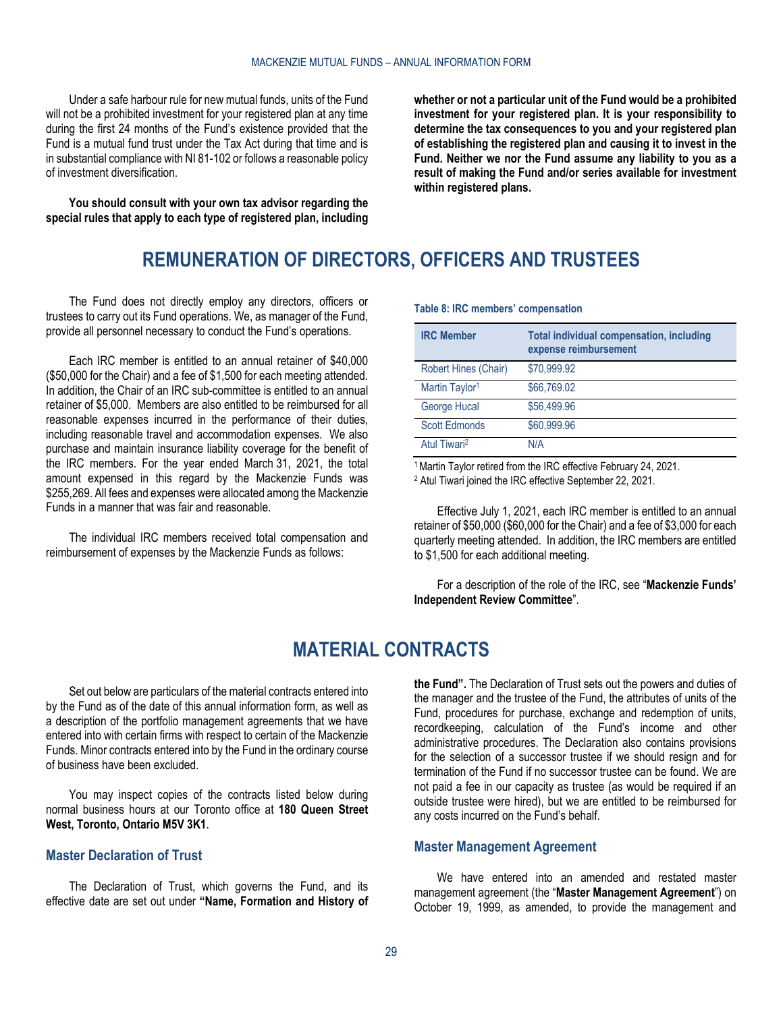Under a safe harbour rule for new mutual funds, units of the Fund will not be a prohibited investment for your registered plan at any time during the first 24 months of the Fund's existence provided that the Fund is a mutual fund trust under the Tax Act during that time and is in substantial compliance with NI 81-102 or follows a reasonable policy of investment diversification.

<span id="page-28-0"></span>**You should consult with your own tax advisor regarding the special rules that apply to each type of registered plan, including** 

**whether or not a particular unit of the Fund would be a prohibited investment for your registered plan. It is your responsibility to determine the tax consequences to you and your registered plan of establishing the registered plan and causing it to invest in the Fund. Neither we nor the Fund assume any liability to you as a result of making the Fund and/or series available for investment within registered plans.**

# **REMUNERATION OF DIRECTORS, OFFICERS AND TRUSTEES**

The Fund does not directly employ any directors, officers or trustees to carry out its Fund operations. We, as manager of the Fund, provide all personnel necessary to conduct the Fund's operations.

Each IRC member is entitled to an annual retainer of \$40,000 (\$50,000 for the Chair) and a fee of \$1,500 for each meeting attended. In addition, the Chair of an IRC sub-committee is entitled to an annual retainer of \$5,000. Members are also entitled to be reimbursed for all reasonable expenses incurred in the performance of their duties, including reasonable travel and accommodation expenses. We also purchase and maintain insurance liability coverage for the benefit of the IRC members. For the year ended March 31, 2021, the total amount expensed in this regard by the Mackenzie Funds was \$255,269. All fees and expenses were allocated among the Mackenzie Funds in a manner that was fair and reasonable.

The individual IRC members received total compensation and reimbursement of expenses by the Mackenzie Funds as follows:

| <b>IRC Member</b>          | <b>Total individual compensation, including</b><br>expense reimbursement |
|----------------------------|--------------------------------------------------------------------------|
| Robert Hines (Chair)       | \$70,999.92                                                              |
| Martin Taylor <sup>1</sup> | \$66,769,02                                                              |
| George Hucal               | \$56,499.96                                                              |
| <b>Scott Edmonds</b>       | \$60,999.96                                                              |
| Atul Tiwari <sup>2</sup>   | N/A                                                                      |

**Table 8: IRC members' compensation**

1Martin Taylor retired from the IRC effective February 24, 2021.

<sup>2</sup> Atul Tiwari joined the IRC effective September 22, 2021.

Effective July 1, 2021, each IRC member is entitled to an annual retainer of \$50,000 (\$60,000 for the Chair) and a fee of \$3,000 for each quarterly meeting attended. In addition, the IRC members are entitled to \$1,500 for each additional meeting.

For a description of the role of the IRC, see "**[Mackenzie Funds'](#page-19-0)  [Independent Review Committee](#page-19-0)**".

# **MATERIAL CONTRACTS**

<span id="page-28-1"></span>Set out below are particulars of the material contracts entered into by the Fund as of the date of this annual information form, as well as a description of the portfolio management agreements that we have entered into with certain firms with respect to certain of the Mackenzie Funds. Minor contracts entered into by the Fund in the ordinary course of business have been excluded.

You may inspect copies of the contracts listed below during normal business hours at our Toronto office at **180 Queen Street West, Toronto, Ontario M5V 3K1**.

# <span id="page-28-2"></span>**Master Declaration of Trust**

The Declaration of Trust, which governs the Fund, and its effective date are set out under **["Name, Formation and History of](#page-2-0)** 

**[the Fund"](#page-2-0).** The Declaration of Trust sets out the powers and duties of the manager and the trustee of the Fund, the attributes of units of the Fund, procedures for purchase, exchange and redemption of units, recordkeeping, calculation of the Fund's income and other administrative procedures. The Declaration also contains provisions for the selection of a successor trustee if we should resign and for termination of the Fund if no successor trustee can be found. We are not paid a fee in our capacity as trustee (as would be required if an outside trustee were hired), but we are entitled to be reimbursed for any costs incurred on the Fund's behalf.

#### <span id="page-28-3"></span>**Master Management Agreement**

We have entered into an amended and restated master management agreement (the "**Master Management Agreement**") on October 19, 1999, as amended, to provide the management and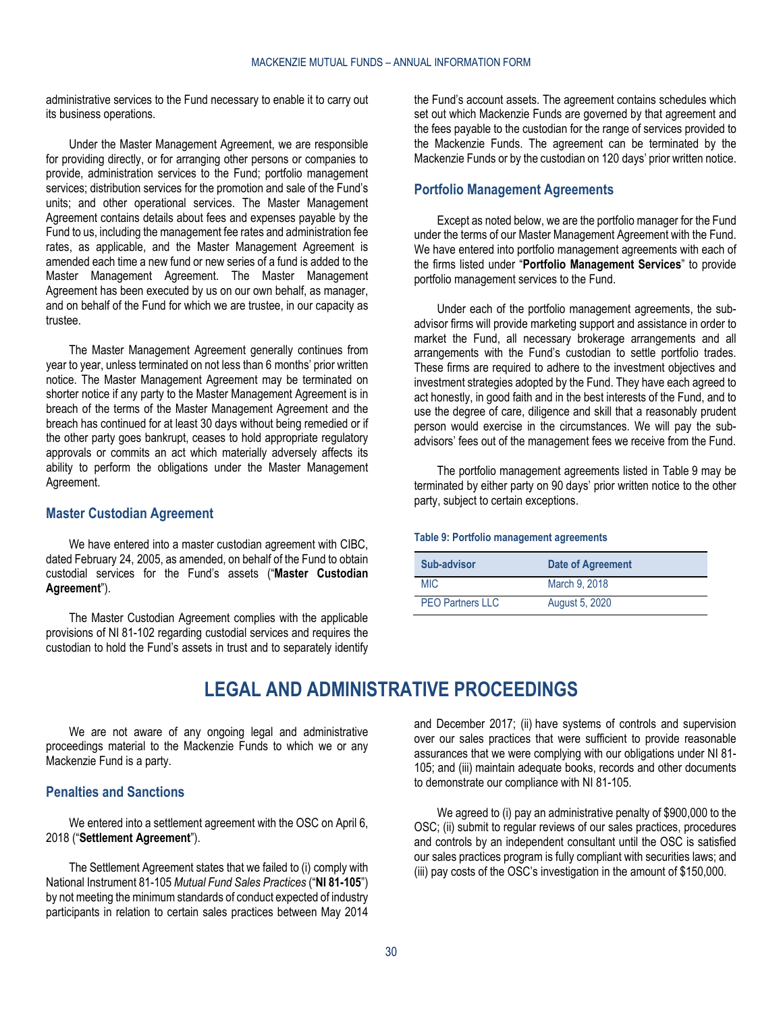administrative services to the Fund necessary to enable it to carry out its business operations.

Under the Master Management Agreement, we are responsible for providing directly, or for arranging other persons or companies to provide, administration services to the Fund; portfolio management services; distribution services for the promotion and sale of the Fund's units; and other operational services. The Master Management Agreement contains details about fees and expenses payable by the Fund to us, including the management fee rates and administration fee rates, as applicable, and the Master Management Agreement is amended each time a new fund or new series of a fund is added to the Master Management Agreement. The Master Management Agreement has been executed by us on our own behalf, as manager, and on behalf of the Fund for which we are trustee, in our capacity as trustee.

The Master Management Agreement generally continues from year to year, unless terminated on not less than 6 months' prior written notice. The Master Management Agreement may be terminated on shorter notice if any party to the Master Management Agreement is in breach of the terms of the Master Management Agreement and the breach has continued for at least 30 days without being remedied or if the other party goes bankrupt, ceases to hold appropriate regulatory approvals or commits an act which materially adversely affects its ability to perform the obligations under the Master Management Agreement.

# <span id="page-29-0"></span>**Master Custodian Agreement**

We have entered into a master custodian agreement with CIBC, dated February 24, 2005, as amended, on behalf of the Fund to obtain custodial services for the Fund's assets ("**Master Custodian Agreement**").

<span id="page-29-2"></span>The Master Custodian Agreement complies with the applicable provisions of NI 81-102 regarding custodial services and requires the custodian to hold the Fund's assets in trust and to separately identify the Fund's account assets. The agreement contains schedules which set out which Mackenzie Funds are governed by that agreement and the fees payable to the custodian for the range of services provided to the Mackenzie Funds. The agreement can be terminated by the Mackenzie Funds or by the custodian on 120 days' prior written notice.

# <span id="page-29-1"></span>**Portfolio Management Agreements**

Except as noted below, we are the portfolio manager for the Fund under the terms of our Master Management Agreement with the Fund. We have entered into portfolio management agreements with each of the firms listed under "**Portfolio [Management Services](#page-12-0)**" to provide portfolio management services to the Fund.

Under each of the portfolio management agreements, the subadvisor firms will provide marketing support and assistance in order to market the Fund, all necessary brokerage arrangements and all arrangements with the Fund's custodian to settle portfolio trades. These firms are required to adhere to the investment objectives and investment strategies adopted by the Fund. They have each agreed to act honestly, in good faith and in the best interests of the Fund, and to use the degree of care, diligence and skill that a reasonably prudent person would exercise in the circumstances. We will pay the subadvisors' fees out of the management fees we receive from the Fund.

The portfolio management agreements listed in [Table](#page-29-4) 9 may be terminated by either party on 90 days' prior written notice to the other party, subject to certain exceptions.

#### <span id="page-29-4"></span>**Table 9: Portfolio management agreements**

| Sub-advisor             | <b>Date of Agreement</b> |
|-------------------------|--------------------------|
| <b>MIC</b>              | March 9, 2018            |
| <b>PEO Partners LLC</b> | August 5, 2020           |

# **LEGAL AND ADMINISTRATIVE PROCEEDINGS**

We are not aware of any ongoing legal and administrative proceedings material to the Mackenzie Funds to which we or any Mackenzie Fund is a party.

# <span id="page-29-3"></span>**Penalties and Sanctions**

We entered into a settlement agreement with the OSC on April 6, 2018 ("**Settlement Agreement**").

The Settlement Agreement states that we failed to (i) comply with National Instrument 81-105 *Mutual Fund Sales Practices* ("**NI 81-105**") by not meeting the minimum standards of conduct expected of industry participants in relation to certain sales practices between May 2014

and December 2017; (ii) have systems of controls and supervision over our sales practices that were sufficient to provide reasonable assurances that we were complying with our obligations under NI 81- 105; and (iii) maintain adequate books, records and other documents to demonstrate our compliance with NI 81-105.

We agreed to (i) pay an administrative penalty of \$900,000 to the OSC; (ii) submit to regular reviews of our sales practices, procedures and controls by an independent consultant until the OSC is satisfied our sales practices program is fully compliant with securities laws; and (iii) pay costs of the OSC's investigation in the amount of \$150,000.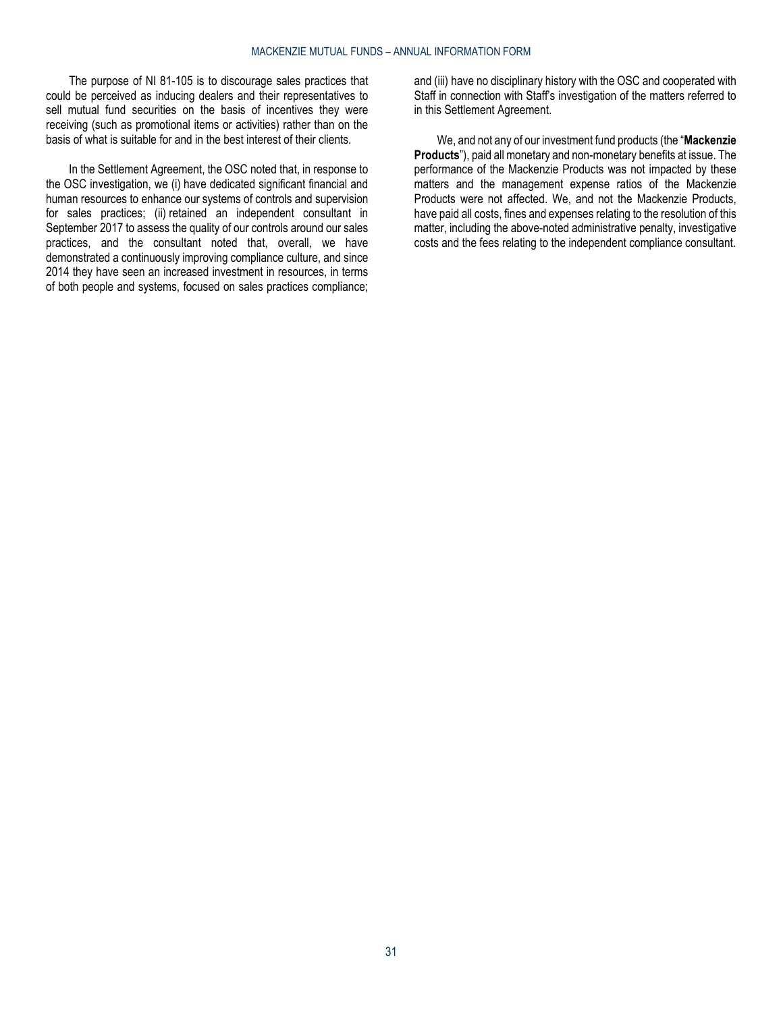The purpose of NI 81-105 is to discourage sales practices that could be perceived as inducing dealers and their representatives to sell mutual fund securities on the basis of incentives they were receiving (such as promotional items or activities) rather than on the basis of what is suitable for and in the best interest of their clients.

In the Settlement Agreement, the OSC noted that, in response to the OSC investigation, we (i) have dedicated significant financial and human resources to enhance our systems of controls and supervision for sales practices; (ii) retained an independent consultant in September 2017 to assess the quality of our controls around our sales practices, and the consultant noted that, overall, we have demonstrated a continuously improving compliance culture, and since 2014 they have seen an increased investment in resources, in terms of both people and systems, focused on sales practices compliance; and (iii) have no disciplinary history with the OSC and cooperated with Staff in connection with Staff's investigation of the matters referred to in this Settlement Agreement.

We, and not any of our investment fund products (the "**Mackenzie Products**"), paid all monetary and non-monetary benefits at issue. The performance of the Mackenzie Products was not impacted by these matters and the management expense ratios of the Mackenzie Products were not affected. We, and not the Mackenzie Products, have paid all costs, fines and expenses relating to the resolution of this matter, including the above-noted administrative penalty, investigative costs and the fees relating to the independent compliance consultant.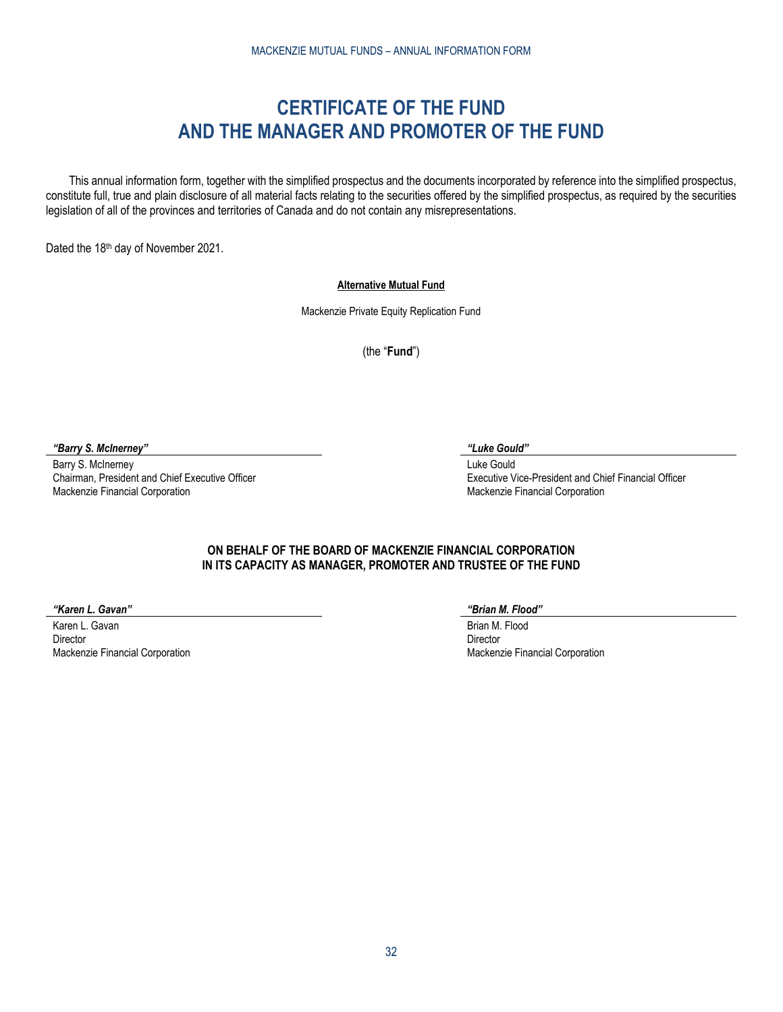# **CERTIFICATE OF THE FUND AND THE MANAGER AND PROMOTER OF THE FUND**

<span id="page-31-0"></span>This annual information form, together with the simplified prospectus and the documents incorporated by reference into the simplified prospectus, constitute full, true and plain disclosure of all material facts relating to the securities offered by the simplified prospectus, as required by the securities legislation of all of the provinces and territories of Canada and do not contain any misrepresentations.

Dated the 18th day of November 2021.

### **Alternative Mutual Fund**

Mackenzie Private Equity Replication Fund

(the "**Fund**")

*"Barry S. McInerney" "Luke Gould"*

Barry S. McInerney Chairman, President and Chief Executive Officer Mackenzie Financial Corporation

Luke Gould Executive Vice-President and Chief Financial Officer Mackenzie Financial Corporation

# **ON BEHALF OF THE BOARD OF MACKENZIE FINANCIAL CORPORATION IN ITS CAPACITY AS MANAGER, PROMOTER AND TRUSTEE OF THE FUND**

*"Karen L. Gavan" "Brian M. Flood"*

Karen L. Gavan Director Mackenzie Financial Corporation

Brian M. Flood Director Mackenzie Financial Corporation